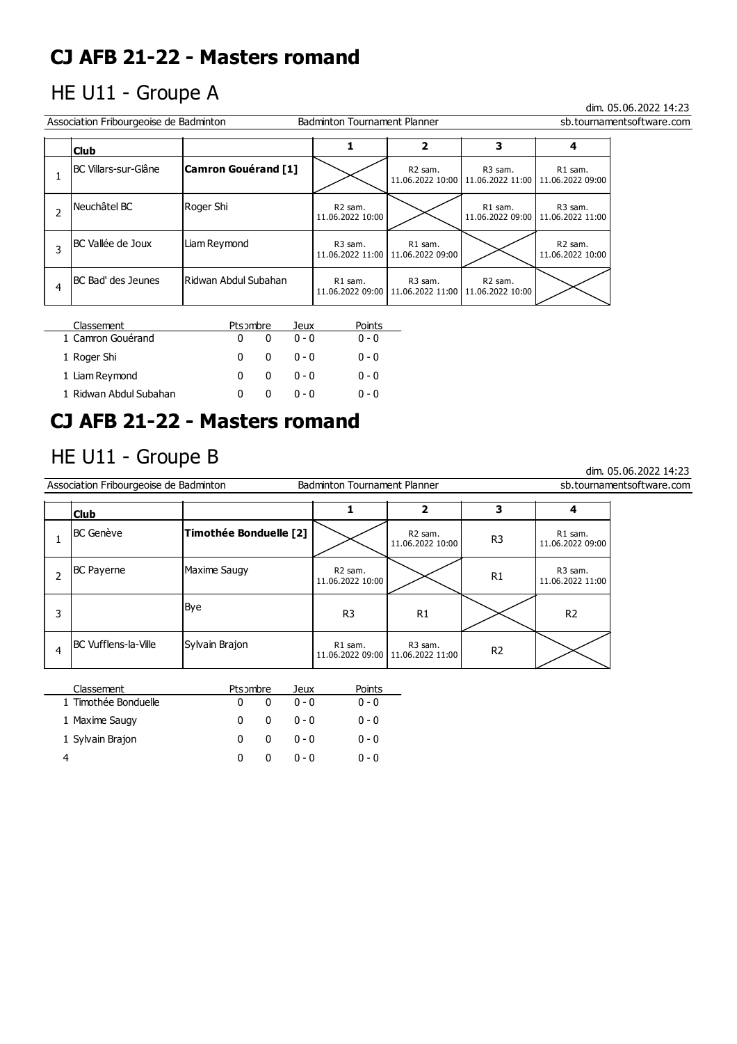## HE U11 - Groupe A

### dim. 05.06.2022 14:23

dim. 05.06.2022 14:23

| Association Fribourgeoise de Badminton<br><b>Badminton Tournament Planner</b><br>sb.tournamentsoftware.com |                       |                                         |                                                |                                           |                                                                   |  |  |
|------------------------------------------------------------------------------------------------------------|-----------------------|-----------------------------------------|------------------------------------------------|-------------------------------------------|-------------------------------------------------------------------|--|--|
| <b>Club</b>                                                                                                |                       |                                         | 2                                              | 3                                         |                                                                   |  |  |
| IBC Villars-sur-Glâne                                                                                      | Camron Gouérand [1]   |                                         | R <sub>2</sub> sam.                            | R3 sam.                                   | R1 sam.<br>11.06.2022 10:00   11.06.2022 11:00   11.06.2022 09:00 |  |  |
| Neuchâtel BC                                                                                               | Roger Shi             | R <sub>2</sub> sam.<br>11.06.2022 10:00 |                                                | R1 sam.                                   | R <sub>3</sub> sam.<br>11.06.2022 09:00   11.06.2022 11:00        |  |  |
| BC Vallée de Joux                                                                                          | Liam Reymond          | R <sub>3</sub> sam.                     | R1 sam.<br>11.06.2022 11:00   11.06.2022 09:00 |                                           | R <sub>2</sub> sam.<br>11.06.2022 10:00                           |  |  |
| BC Bad' des Jeunes                                                                                         | IRidwan Abdul Subahan | R1 sam.                                 | R3 sam.<br>11.06.2022 09:00   11.06.2022 11:00 | R <sub>2</sub> sam.<br>  11.06.2022 10:00 |                                                                   |  |  |

| Classement             | Ptsombre |   | Jeux    | Points  |
|------------------------|----------|---|---------|---------|
| 1 Camron Gouérand      | 0        |   | $0 - 0$ | $0 - 0$ |
| 1 Roger Shi            | n        | 0 | ი - ი   | $0 - 0$ |
| 1 Liam Reymond         | 0        | 0 | ი - ი   | $0 - 0$ |
| 1 Ridwan Abdul Subahan |          | 0 | n - n   | $0 - 0$ |

1 Sylvain Brajon 0 0 0 - 0 0 - 0 4 0 0 0 - 0 0 - 0

## **CJ AFB 21-22 - Masters romand**

## HE U11 - Groupe B

L

|   | Association Fribourgeoise de Badminton<br><b>Badminton Tournament Planner</b><br>sb.tournamentsoftware.com |                        |          |                 |                                         |                                         |                |                                         |  |
|---|------------------------------------------------------------------------------------------------------------|------------------------|----------|-----------------|-----------------------------------------|-----------------------------------------|----------------|-----------------------------------------|--|
|   | <b>Club</b>                                                                                                |                        |          |                 |                                         | $\overline{2}$                          | 3              | 4                                       |  |
|   | <b>BC</b> Genève                                                                                           | Timothée Bonduelle [2] |          |                 |                                         | R <sub>2</sub> sam.<br>11.06.2022 10:00 | R <sub>3</sub> | R1 sam.<br>11.06.2022 09:00             |  |
| 2 | <b>BC Payerne</b>                                                                                          | Maxime Saugy           |          |                 | R <sub>2</sub> sam.<br>11.06.2022 10:00 |                                         | R1             | R <sub>3</sub> sam.<br>11.06.2022 11:00 |  |
| 3 |                                                                                                            | Bye                    |          |                 | R <sub>3</sub>                          | R1                                      |                | R <sub>2</sub>                          |  |
| 4 | <b>BC</b> Vufflens-la-Ville                                                                                | Sylvain Brajon         |          |                 | R1 sam.<br>11.06.2022 09:00             | R3 sam.<br>11.06.2022 11:00             | R <sub>2</sub> |                                         |  |
|   | Classement<br>1 Timothée Bonduelle                                                                         | Ptsombre<br>0          | $\Omega$ | Jeux<br>$0 - 0$ | Points<br>$0 - 0$                       |                                         |                |                                         |  |
|   | 1 Maxime Saugy                                                                                             | 0                      | 0        | $0 - 0$         | $0 - 0$                                 |                                         |                |                                         |  |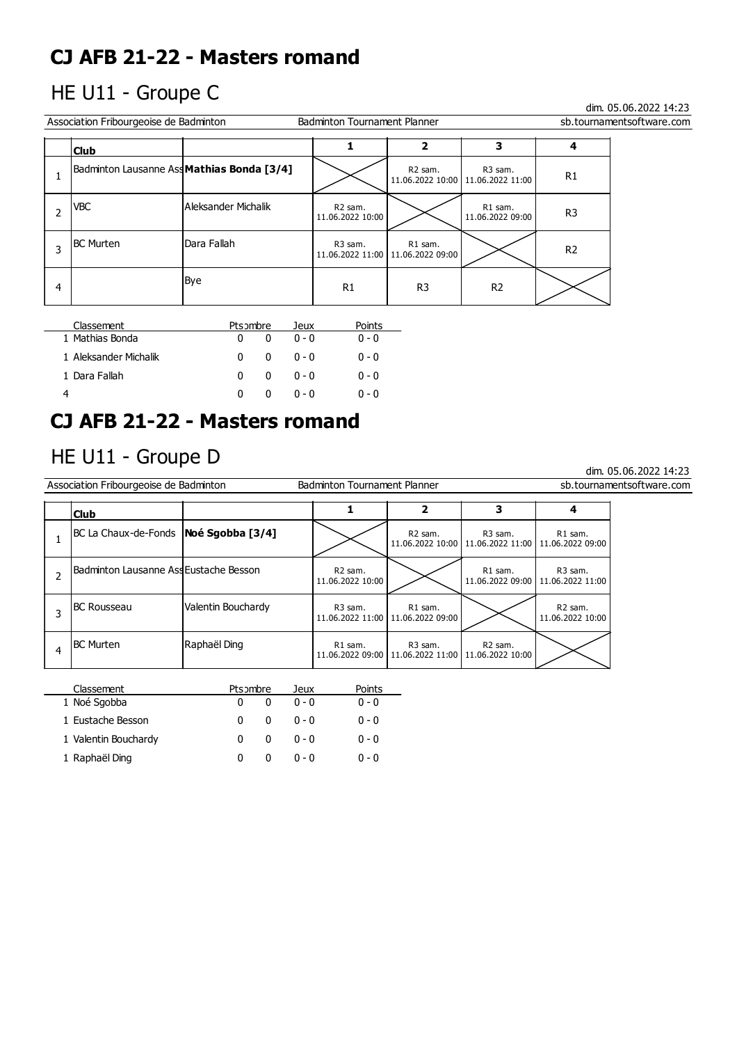## HE U11 - Groupe C

dim. 05.06.2022 14:23

dim. 05.06.2022 14:23

|   | Association Fribourgeoise de Badminton |                                            | sb.tournamentsoftware.com               |                                                |                                                            |                |  |
|---|----------------------------------------|--------------------------------------------|-----------------------------------------|------------------------------------------------|------------------------------------------------------------|----------------|--|
|   | <b>Club</b>                            |                                            |                                         |                                                | 3                                                          |                |  |
|   |                                        | Badminton Lausanne Ass Mathias Bonda [3/4] |                                         | R <sub>2</sub> sam.                            | R <sub>3</sub> sam.<br>11.06.2022 10:00   11.06.2022 11:00 | R <sub>1</sub> |  |
|   | <b>VBC</b>                             | Aleksander Michalik                        | R <sub>2</sub> sam.<br>11.06.2022 10:00 |                                                | R1 sam.<br>11.06.2022 09:00                                | R <sub>3</sub> |  |
|   | <b>BC Murten</b>                       | lDara Fallah                               | R <sub>3</sub> sam.                     | R1 sam.<br>11.06.2022 11:00   11.06.2022 09:00 |                                                            | R <sub>2</sub> |  |
| 4 |                                        | Bye                                        | R1                                      | R <sub>3</sub>                                 | R <sub>2</sub>                                             |                |  |

| Classement            | Ptsombre |              | Jeux    | Points  |
|-----------------------|----------|--------------|---------|---------|
| 1 Mathias Bonda       | n        | <sup>0</sup> | $0 - 0$ | $0 - 0$ |
| 1 Aleksander Michalik | n        | <sup>0</sup> | - ი - ი | $0 - 0$ |
| 1 Dara Fallah         | 0        | <sup>0</sup> | _ ი - ი | $0 - 0$ |
|                       |          |              | $0 - 0$ | $0 - 0$ |

# **CJ AFB 21-22 - Masters romand**

## HE U11 - Groupe D

| Association Fribourgeoise de Badminton |                                         |                    | <b>Badminton Tournament Planner</b>     |                                                                               |                                                                               |                                         | sb.tournamentsoftware.com |
|----------------------------------------|-----------------------------------------|--------------------|-----------------------------------------|-------------------------------------------------------------------------------|-------------------------------------------------------------------------------|-----------------------------------------|---------------------------|
|                                        | <b>Club</b>                             |                    |                                         |                                                                               | 3                                                                             |                                         |                           |
|                                        | BC La Chaux-de-Fonds   Noé Sgobba [3/4] |                    |                                         | R <sub>2</sub> sam.                                                           | R <sub>3</sub> sam.<br>11.06.2022 10:00   11.06.2022 11:00   11.06.2022 09:00 | R1 sam.                                 |                           |
|                                        | Badminton Lausanne AssEustache Besson   |                    | R <sub>2</sub> sam.<br>11.06.2022 10:00 |                                                                               | R1 sam.<br>11.06.2022 09:00                                                   | R <sub>3</sub> sam.<br>11.06.2022 11:00 |                           |
|                                        | <b>BC Rousseau</b>                      | Valentin Bouchardy | R <sub>3</sub> sam.                     | R1 sam.<br>11.06.2022 11:00   11.06.2022 09:00                                |                                                                               | R <sub>2</sub> sam.<br>11.06.2022 10:00 |                           |
| 4                                      | <b>BC Murten</b>                        | Raphaël Ding       | R1 sam.                                 | R <sub>3</sub> sam.<br>11.06.2022 09:00   11.06.2022 11:00   11.06.2022 10:00 | R <sub>2</sub> sam.                                                           |                                         |                           |
|                                        | $\sim$ $\sim$ $\sim$ $\sim$             |                    |                                         |                                                                               |                                                                               |                                         |                           |

| Classement           | Ptsombre          | Jeux    | Points  |
|----------------------|-------------------|---------|---------|
| 1 Noé Sgobba         |                   | $0 - 0$ | $0 - 0$ |
| 1 Eustache Besson    | <sup>0</sup><br>0 | $0 - 0$ | $0 - 0$ |
| 1 Valentin Bouchardy | <sup>0</sup><br>n | $0 - 0$ | $0 - 0$ |
| 1 Raphaël Ding       |                   | $0 - 0$ | $0 - 0$ |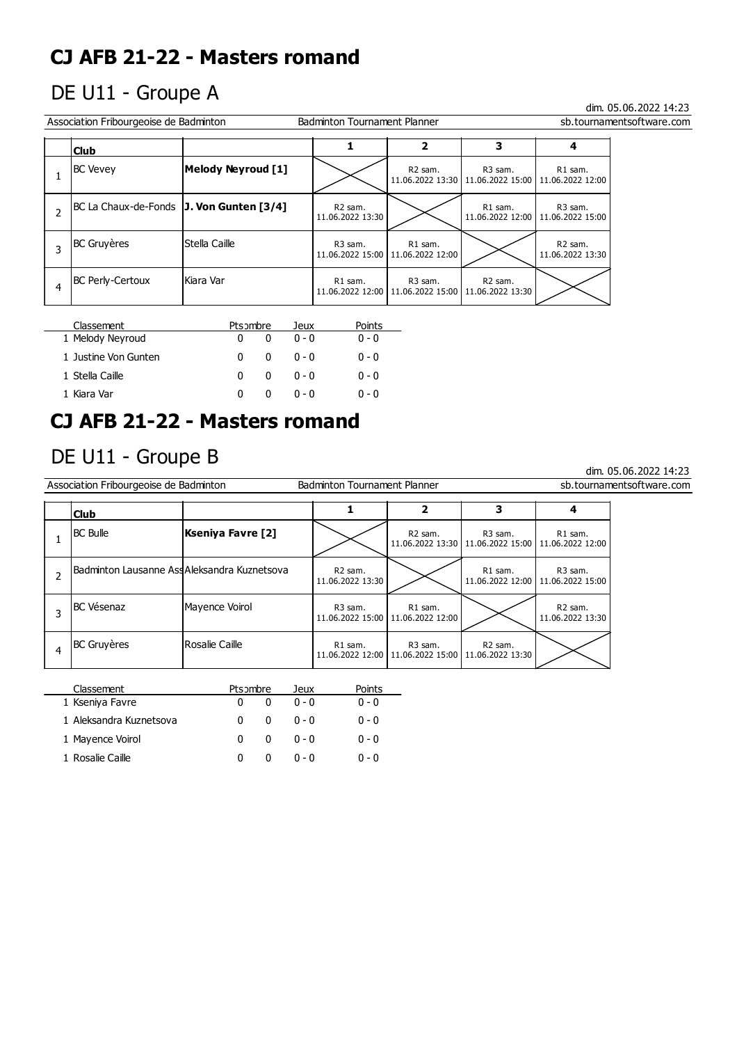# DE U11 - Groupe A

### dim. 05.06.2022 14:23

dim. 05.06.2022 14:23

| Association Fribourgeoise de Badminton<br><b>Badminton Tournament Planner</b><br>sb.tournamentsoftware.com |                                            |                           |                                         |                                                                               |                                                                               |                                                            |  |
|------------------------------------------------------------------------------------------------------------|--------------------------------------------|---------------------------|-----------------------------------------|-------------------------------------------------------------------------------|-------------------------------------------------------------------------------|------------------------------------------------------------|--|
|                                                                                                            | 3<br>2<br><b>Club</b>                      |                           |                                         |                                                                               |                                                                               |                                                            |  |
|                                                                                                            | <b>BC Vevey</b>                            | <b>Melody Neyroud [1]</b> |                                         | R <sub>2</sub> sam.                                                           | R <sub>3</sub> sam.<br>11.06.2022 13:30   11.06.2022 15:00   11.06.2022 12:00 | R1 sam.                                                    |  |
|                                                                                                            | BC La Chaux-de-Fonds   J. Von Gunten [3/4] |                           | R <sub>2</sub> sam.<br>11.06.2022 13:30 |                                                                               | R1 sam.                                                                       | R <sub>3</sub> sam.<br>11.06.2022 12:00   11.06.2022 15:00 |  |
|                                                                                                            | <b>BC Gruyères</b>                         | Stella Caille             | R <sub>3</sub> sam.                     | R1 sam.<br>11.06.2022 15:00   11.06.2022 12:00                                |                                                                               | R <sub>2</sub> sam.<br>11.06.2022 13:30                    |  |
|                                                                                                            | <b>BC Perly-Certoux</b>                    | lKiara Var                | R1 sam.                                 | R <sub>3</sub> sam.<br>11.06.2022 12:00   11.06.2022 15:00   11.06.2022 13:30 | R <sub>2</sub> sam.                                                           |                                                            |  |

| Classement           | Ptsombre |   | Jeux    | Points  |
|----------------------|----------|---|---------|---------|
| 1 Melody Neyroud     |          |   | $0 - 0$ | $0 - 0$ |
| 1 Justine Von Gunten | 0        | o | $0 - 0$ | $0 - 0$ |
| 1 Stella Caille      | n        | n | $0 - 0$ | $0 - 0$ |
| 1 Kiara Var          | n        |   | $0 - 0$ | $0 - 0$ |

## **CJ AFB 21-22 - Masters romand**

## DE U11 - Groupe B

| Association Fribourgeoise de Badminton |                                             |                   | <b>Badminton Tournament Planner</b>     |                                                |                                                                               |                                                            | sb.tournamentsoftware.com |
|----------------------------------------|---------------------------------------------|-------------------|-----------------------------------------|------------------------------------------------|-------------------------------------------------------------------------------|------------------------------------------------------------|---------------------------|
|                                        | <b>Club</b>                                 |                   |                                         | 2                                              | 3                                                                             |                                                            |                           |
|                                        | <b>BC Bulle</b>                             | Kseniya Favre [2] |                                         | R2 sam.                                        | R <sub>3</sub> sam.<br>11.06.2022 13:30   11.06.2022 15:00   11.06.2022 12:00 | R1 sam.                                                    |                           |
|                                        | Badminton Lausanne AssAleksandra Kuznetsova |                   | R <sub>2</sub> sam.<br>11.06.2022 13:30 |                                                | R1 sam.                                                                       | R <sub>3</sub> sam.<br>11.06.2022 12:00   11.06.2022 15:00 |                           |
|                                        | <b>BC</b> Vésenaz                           | Mayence Voirol    | R <sub>3</sub> sam.                     | R1 sam.<br>11.06.2022 15:00   11.06.2022 12:00 |                                                                               | R <sub>2</sub> sam.<br>11.06.2022 13:30                    |                           |
| 4                                      | <b>BC</b> Gruyères                          | l Rosalie Caille  | R1 sam.                                 | R <sub>3</sub> sam.                            | R <sub>2</sub> sam.<br>11.06.2022 12:00   11.06.2022 15:00   11.06.2022 13:30 |                                                            |                           |
|                                        |                                             |                   |                                         |                                                |                                                                               |                                                            |                           |

| Classement              | Ptsombre |            | Jeux    | Points  |
|-------------------------|----------|------------|---------|---------|
| 1 Kseniya Favre         |          |            | $0 - 0$ | $0 - 0$ |
| 1 Aleksandra Kuznetsova |          | 0          | $0 - 0$ | $0 - 0$ |
| 1 Mayence Voirol        | o        | 0          | $0 - 0$ | $0 - 0$ |
| 1 Rosalie Caille        |          | $^{\circ}$ | $0 - 0$ | ი - ი   |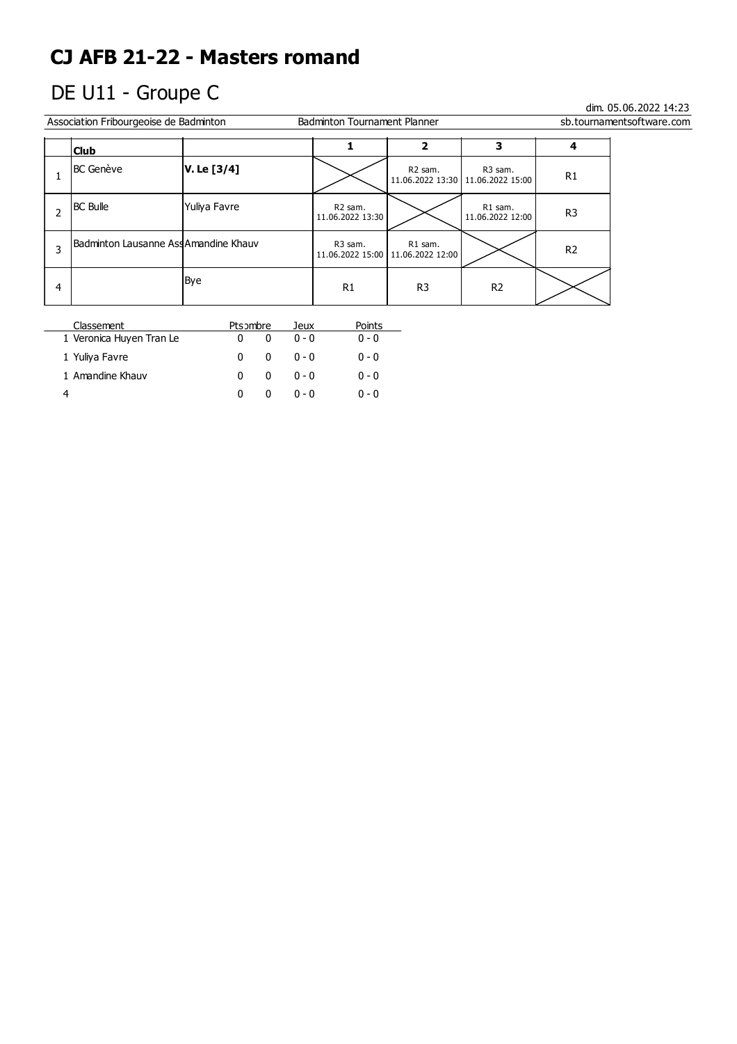# DE U11 - Groupe C

 $\overline{a}$ 

|   | Association Fribourgeoise de Badminton |              | <b>Badminton Tournament Planner</b> |                                                |                                                | sb.tournamentsoftware.com |  |
|---|----------------------------------------|--------------|-------------------------------------|------------------------------------------------|------------------------------------------------|---------------------------|--|
|   | 3<br>2<br><b>Club</b>                  |              |                                     |                                                |                                                |                           |  |
|   | <b>BC</b> Genève                       | V. Le [3/4]  |                                     | R2 sam.                                        | R3 sam.<br>11.06.2022 13:30   11.06.2022 15:00 | R <sub>1</sub>            |  |
|   | <b>BC</b> Bulle                        | Yuliya Favre | R2 sam.<br>11.06.2022 13:30         |                                                | R1 sam.<br>11.06.2022 12:00                    | R <sub>3</sub>            |  |
|   | Badminton Lausanne AssAmandine Khauv   |              | R3 sam.                             | R1 sam.<br>11.06.2022 15:00   11.06.2022 12:00 |                                                | R <sub>2</sub>            |  |
| 4 |                                        | Bye          | R <sub>1</sub>                      | R <sub>3</sub>                                 | R <sub>2</sub>                                 |                           |  |

| Classement               | Ptsombre     |              | Jeux    | Points  |
|--------------------------|--------------|--------------|---------|---------|
| 1 Veronica Huyen Tran Le | $\mathbf{0}$ | $\mathbf{0}$ | $0 - 0$ | $0 - 0$ |
| 1 Yuliya Favre           | 0            | 0            | ი - ი   | $0 - 0$ |
| 1 Amandine Khauv         | n            | 0            | ი - ი   | $0 - 0$ |
|                          | n            |              | በ - በ   | ი - ი   |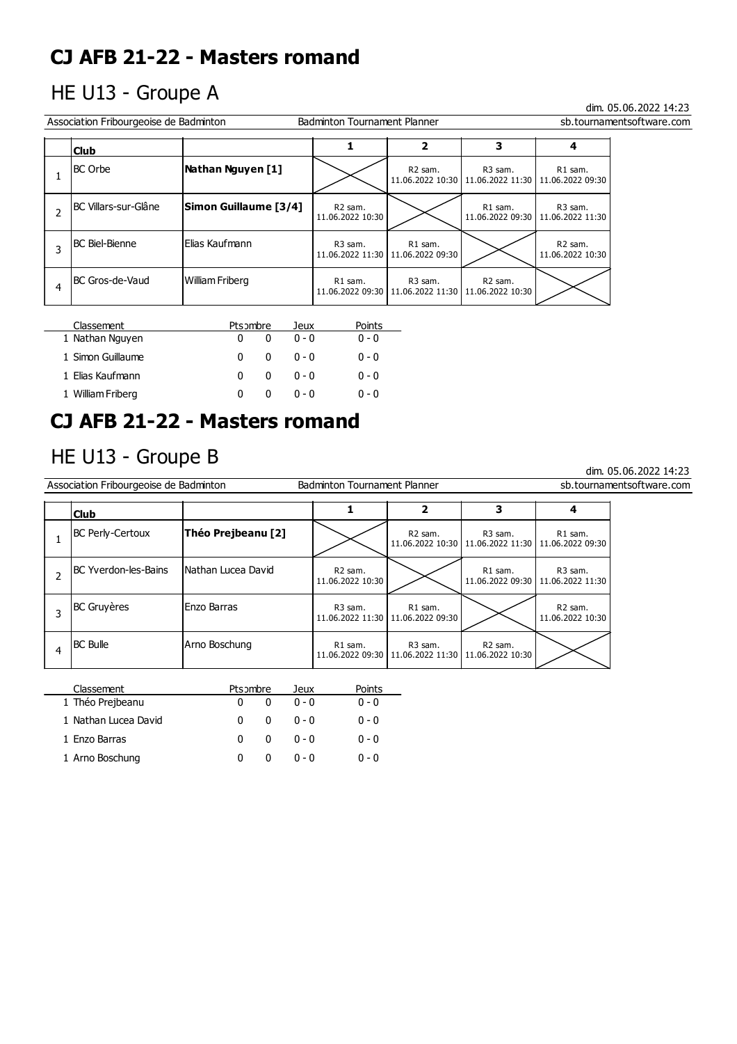## HE U13 - Groupe A

### dim. 05.06.2022 14:23

dim. 05.06.2022 14:23

| Association Fribourgeoise de Badminton<br><b>Badminton Tournament Planner</b><br>sb.tournamentsoftware.com |                       |                                         |                                                                               |                     |                                                                   |  |  |
|------------------------------------------------------------------------------------------------------------|-----------------------|-----------------------------------------|-------------------------------------------------------------------------------|---------------------|-------------------------------------------------------------------|--|--|
| <b>Club</b>                                                                                                |                       |                                         | 2                                                                             | 3                   |                                                                   |  |  |
| <b>BC</b> Orbe                                                                                             | Nathan Nguyen [1]     |                                         | R <sub>2</sub> sam.                                                           | R <sub>3</sub> sam. | R1 sam.<br>11.06.2022 10:30   11.06.2022 11:30   11.06.2022 09:30 |  |  |
| BC Villars-sur-Glâne                                                                                       | Simon Guillaume [3/4] | R <sub>2</sub> sam.<br>11.06.2022 10:30 |                                                                               | R1 sam.             | R <sub>3</sub> sam.<br>11.06.2022 09:30   11.06.2022 11:30        |  |  |
| <b>BC Biel-Bienne</b>                                                                                      | lElias Kaufmann       | R <sub>3</sub> sam.                     | R1 sam.<br>11.06.2022 11:30   11.06.2022 09:30                                |                     | R <sub>2</sub> sam.<br>11.06.2022 10:30                           |  |  |
| BC Gros-de-Vaud                                                                                            | William Friberg       | R1 sam.                                 | R <sub>3</sub> sam.<br>11.06.2022 09:30   11.06.2022 11:30   11.06.2022 10:30 | R <sub>2</sub> sam. |                                                                   |  |  |

| Classement        | Ptsombre |   | Jeux    | Points  |
|-------------------|----------|---|---------|---------|
| 1 Nathan Nguyen   | 0        |   | $0 - 0$ | $0 - 0$ |
| 1 Simon Guillaume | n        | 0 | $0 - 0$ | $0 - 0$ |
| 1 Elias Kaufmann  | n        | 0 | $0 - 0$ | $0 - 0$ |
| 1 William Friberg | 0        | n | በ - በ   | $0 - 0$ |

## **CJ AFB 21-22 - Masters romand**

## HE U13 - Groupe B

|   | Association Fribourgeoise de Badminton |                    | <b>Badminton Tournament Planner</b>     |                                                |                                                                               |                                                            | sb.tournamentsoftware.com |
|---|----------------------------------------|--------------------|-----------------------------------------|------------------------------------------------|-------------------------------------------------------------------------------|------------------------------------------------------------|---------------------------|
|   | <b>Club</b>                            |                    |                                         | 2                                              | 3                                                                             |                                                            |                           |
|   | BC Perly-Certoux                       | Théo Prejbeanu [2] |                                         | R <sub>2</sub> sam.                            | R <sub>3</sub> sam.<br>11.06.2022 10:30   11.06.2022 11:30   11.06.2022 09:30 | R1 sam.                                                    |                           |
|   | BC Yverdon-les-Bains                   | Nathan Lucea David | R <sub>2</sub> sam.<br>11.06.2022 10:30 |                                                | R1 sam.                                                                       | R <sub>3</sub> sam.<br>11.06.2022 09:30   11.06.2022 11:30 |                           |
| 3 | <b>BC</b> Gruyères                     | Enzo Barras        | R <sub>3</sub> sam.                     | R1 sam.<br>11.06.2022 11:30   11.06.2022 09:30 |                                                                               | R <sub>2</sub> sam.<br>11.06.2022 10:30                    |                           |
| 4 | <b>BC Bulle</b>                        | Arno Boschung      | R1 sam.                                 | R <sub>3</sub> sam.                            | R <sub>2</sub> sam.<br>11.06.2022 09:30   11.06.2022 11:30   11.06.2022 10:30 |                                                            |                           |
|   |                                        |                    |                                         |                                                |                                                                               |                                                            |                           |

| Classement           | Ptsombre |              | Jeux    | Points  |
|----------------------|----------|--------------|---------|---------|
| 1 Théo Prejbeanu     |          |              | $0 - 0$ | $0 - 0$ |
| 1 Nathan Lucea David | 0        | 0            | $0 - 0$ | $0 - 0$ |
| 1 Enzo Barras        | 0        | <sup>0</sup> | $0 - 0$ | $0 - 0$ |
| 1 Arno Boschung      |          |              | $0 - 0$ | $0 - 0$ |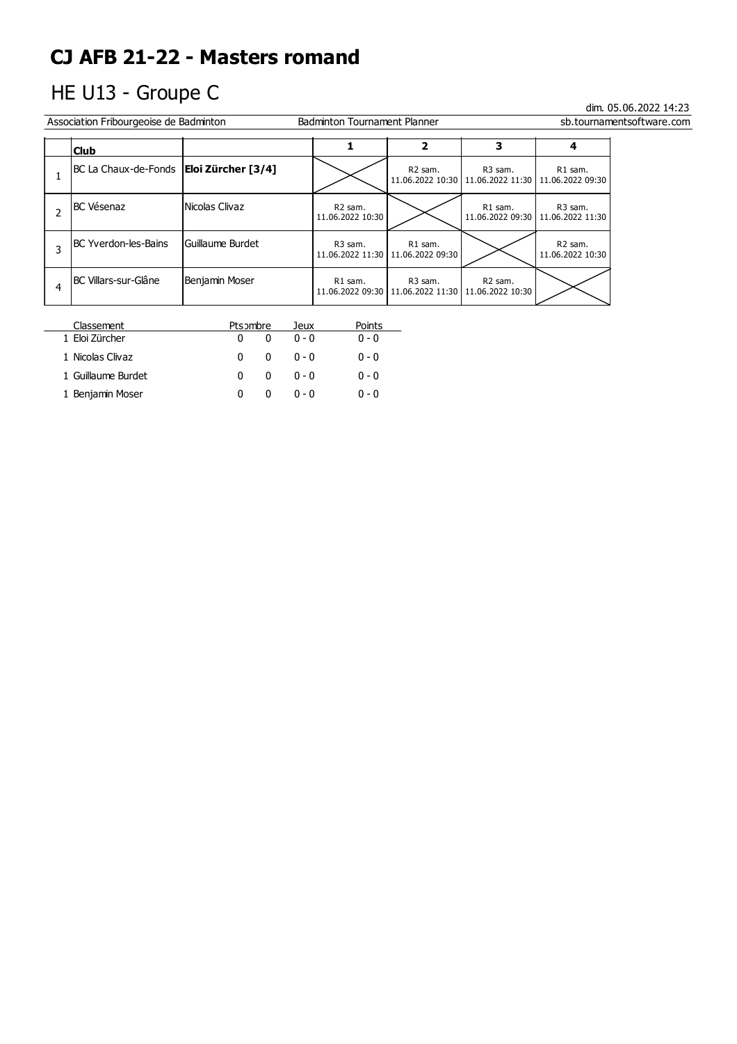# HE U13 - Groupe C

dim. 05.06.2022 14:23 er Association Fribourgeoise de Badminton **Example 19 and September 19 and Tournament Planner** Sb.tournament Software.com

|   | <b>Club</b>                 |                    |                                         | 2                                              | 3                                                                 | 4                                       |
|---|-----------------------------|--------------------|-----------------------------------------|------------------------------------------------|-------------------------------------------------------------------|-----------------------------------------|
|   | BC La Chaux-de-Fonds        | Eloi Zürcher [3/4] |                                         | R <sub>2</sub> sam.                            | R3 sam.<br>11.06.2022 10:30   11.06.2022 11:30   11.06.2022 09:30 | R1 sam.                                 |
| 2 | <b>BC</b> Vésenaz           | Nicolas Clivaz     | R <sub>2</sub> sam.<br>11.06.2022 10:30 |                                                | R1 sam.<br>11.06.2022 09:30   11.06.2022 11:30                    | R <sub>3</sub> sam.                     |
| 3 | <b>BC Yverdon-les-Bains</b> | Guillaume Burdet   | R3 sam.                                 | R1 sam.<br>11.06.2022 11:30   11.06.2022 09:30 |                                                                   | R <sub>2</sub> sam.<br>11.06.2022 10:30 |
| 4 | IBC Villars-sur-Glâne       | Benjamin Moser     | R1 sam.<br>11.06.2022 09:30             | R3 sam.<br>11.06.2022 11:30 11.06.2022 10:30   | R <sub>2</sub> sam.                                               |                                         |

| Classement         | Ptsombre |   | Jeux    | Points  |
|--------------------|----------|---|---------|---------|
| 1 Eloi Zürcher     |          | n | $0 - 0$ | $0 - 0$ |
| 1 Nicolas Clivaz   |          | n | $0 - 0$ | $0 - 0$ |
| 1 Guillaume Burdet |          | 0 | $0 - 0$ | $0 - 0$ |
| 1 Benjamin Moser   |          |   | n - n   | $0 - 0$ |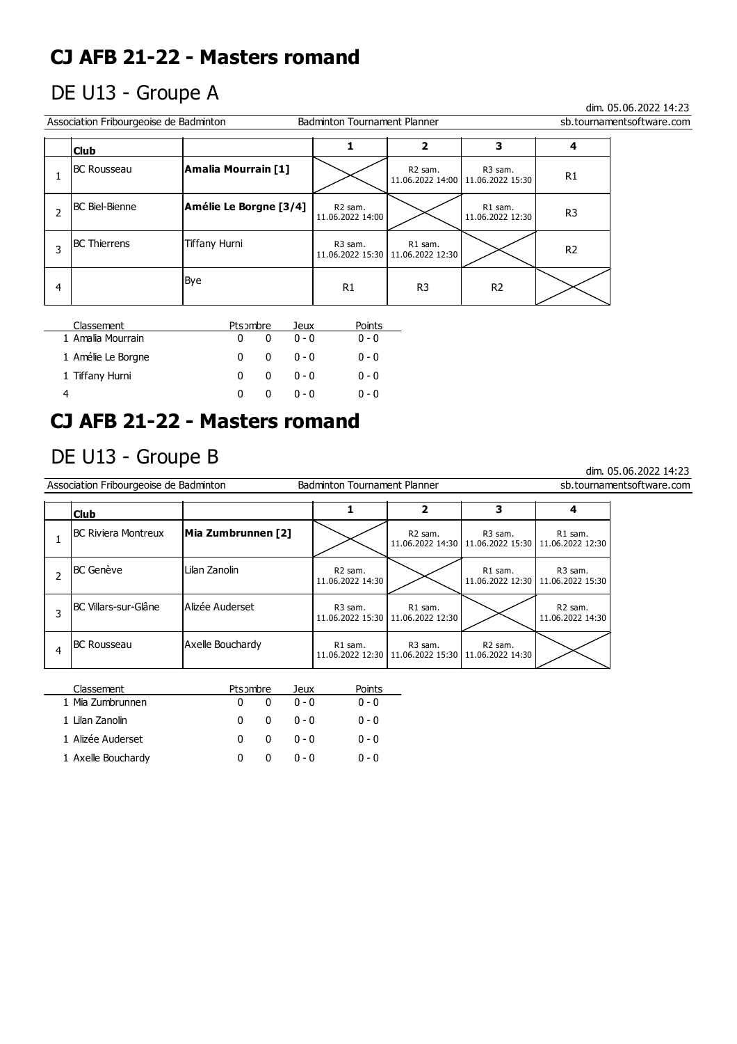## DE U13 - Groupe A

dim. 05.06.2022 14:23

dim. 05.06.2022 14:23

| Association Fribourgeoise de Badminton<br><b>Badminton Tournament Planner</b><br>sb.tournamentsoftware.com |                        |                        |                                         |                                                |                                                            |                |  |  |
|------------------------------------------------------------------------------------------------------------|------------------------|------------------------|-----------------------------------------|------------------------------------------------|------------------------------------------------------------|----------------|--|--|
|                                                                                                            | <b>Club</b>            |                        |                                         |                                                | 3                                                          |                |  |  |
|                                                                                                            | <b>BC Rousseau</b>     | Amalia Mourrain [1]    |                                         | R <sub>2</sub> sam.                            | R <sub>3</sub> sam.<br>11.06.2022 14:00   11.06.2022 15:30 | R <sub>1</sub> |  |  |
|                                                                                                            | <b>IBC Biel-Bienne</b> | Amélie Le Borgne [3/4] | R <sub>2</sub> sam.<br>11.06.2022 14:00 |                                                | R1 sam.<br>11.06.2022 12:30                                | R <sub>3</sub> |  |  |
|                                                                                                            | <b>BC</b> Thierrens    | Tiffany Hurni          | R3 sam.                                 | R1 sam.<br>11.06.2022 15:30   11.06.2022 12:30 |                                                            | R <sub>2</sub> |  |  |
| 4                                                                                                          |                        | Bye                    | R1                                      | R <sub>3</sub>                                 | R <sub>2</sub>                                             |                |  |  |

| Classement         | Ptsombre |              | Jeux    | Points  |
|--------------------|----------|--------------|---------|---------|
| 1 Amalia Mourrain  | 0        |              | $0 - 0$ | $0 - 0$ |
| 1 Amélie Le Borgne | 0        | <sup>0</sup> | $0 - 0$ | $0 - 0$ |
| 1 Tiffany Hurni    | 0        | o            | $0 - 0$ | $0 - 0$ |
|                    | O        |              | ი - ი   | $0 - 0$ |

## **CJ AFB 21-22 - Masters romand**

## DE U13 - Groupe B

l,

| Association Fribourgeoise de Badminton<br><b>Badminton Tournament Planner</b><br>sb.tournamentsoftware.com |                             |                    |                                         |                                                            |                                                                               |                                                            |  |
|------------------------------------------------------------------------------------------------------------|-----------------------------|--------------------|-----------------------------------------|------------------------------------------------------------|-------------------------------------------------------------------------------|------------------------------------------------------------|--|
|                                                                                                            | <b>Club</b>                 |                    |                                         | 2                                                          | 3                                                                             |                                                            |  |
|                                                                                                            | <b>IBC Riviera Montreux</b> | Mia Zumbrunnen [2] |                                         | R <sub>2</sub> sam.                                        | R <sub>3</sub> sam.<br>11.06.2022 14:30   11.06.2022 15:30   11.06.2022 12:30 | R1 sam.                                                    |  |
|                                                                                                            | <b>BC</b> Genève            | Lilan Zanolin      | R <sub>2</sub> sam.<br>11.06.2022 14:30 |                                                            | R1 sam.                                                                       | R <sub>3</sub> sam.<br>11.06.2022 12:30   11.06.2022 15:30 |  |
|                                                                                                            | BC Villars-sur-Glâne        | Alizée Auderset    | R <sub>3</sub> sam.                     | R1 sam.<br>11.06.2022 15:30   11.06.2022 12:30             |                                                                               | R <sub>2</sub> sam.<br>11.06.2022 14:30                    |  |
| 4                                                                                                          | IBC Rousseau                | Axelle Bouchardy   | R1 sam.                                 | R <sub>3</sub> sam.<br>11.06.2022 12:30   11.06.2022 15:30 | R <sub>2</sub> sam.<br>11.06.2022 14:30                                       |                                                            |  |
|                                                                                                            |                             |                    |                                         |                                                            |                                                                               |                                                            |  |

| Classement         | Ptsombre |              | Jeux    | Points  |
|--------------------|----------|--------------|---------|---------|
| 1 Mia Zumbrunnen   |          |              | $0 - 0$ | $0 - 0$ |
| 1 Lilan Zanolin    | n        | n            | $0 - 0$ | $0 - 0$ |
| 1 Alizée Auderset  | 0        | <sup>0</sup> | $0 - 0$ | $0 - 0$ |
| 1 Axelle Bouchardy |          |              | $0 - 0$ | $0 - 0$ |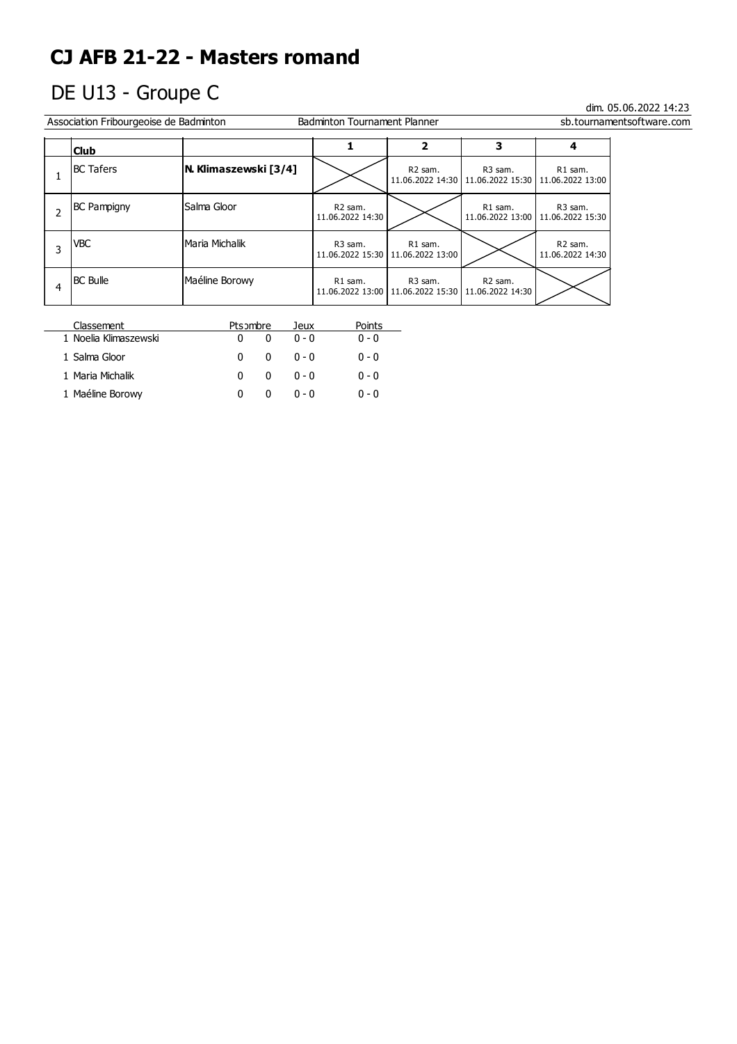# DE U13 - Groupe C

| Association Fribourgeoise de Badminton<br><b>Badminton Tournament Planner</b><br>sb.tournamentsoftware.com |                       |                                         |                                                                   |                     |                                                                   |  |  |  |
|------------------------------------------------------------------------------------------------------------|-----------------------|-----------------------------------------|-------------------------------------------------------------------|---------------------|-------------------------------------------------------------------|--|--|--|
| <b>Club</b>                                                                                                |                       |                                         | 2                                                                 | 3                   | 4                                                                 |  |  |  |
| <b>IBC Tafers</b>                                                                                          | N. Klimaszewski [3/4] |                                         | R <sub>2</sub> sam.                                               | R <sub>3</sub> sam. | R1 sam.<br>11.06.2022 14:30   11.06.2022 15:30   11.06.2022 13:00 |  |  |  |
| <b>BC Pampigny</b>                                                                                         | Salma Gloor           | R <sub>2</sub> sam.<br>11.06.2022 14:30 |                                                                   | R1 sam.             | R <sub>3</sub> sam.<br>11.06.2022 13:00   11.06.2022 15:30        |  |  |  |
| VBC                                                                                                        | Maria Michalik        | R <sub>3</sub> sam.                     | R1 sam.<br>11.06.2022 15:30   11.06.2022 13:00                    |                     | R <sub>2</sub> sam.<br>11.06.2022 14:30                           |  |  |  |
| <b>BC Bulle</b>                                                                                            | Maéline Borowy        | R1 sam.                                 | R3 sam.<br>11.06.2022 13:00   11.06.2022 15:30   11.06.2022 14:30 | R <sub>2</sub> sam. |                                                                   |  |  |  |

| Classement            | Ptsombre |   | Jeux    | Points  |
|-----------------------|----------|---|---------|---------|
| 1 Noelia Klimaszewski |          |   | $0 - 0$ | $0 - 0$ |
| 1 Salma Gloor         | n        | n | ი - ი   | $0 - 0$ |
| 1 Maria Michalik      | 0        | o | $0 - 0$ | $0 - 0$ |
| 1 Maéline Borowy      |          |   | $0 - 0$ | $0 - 0$ |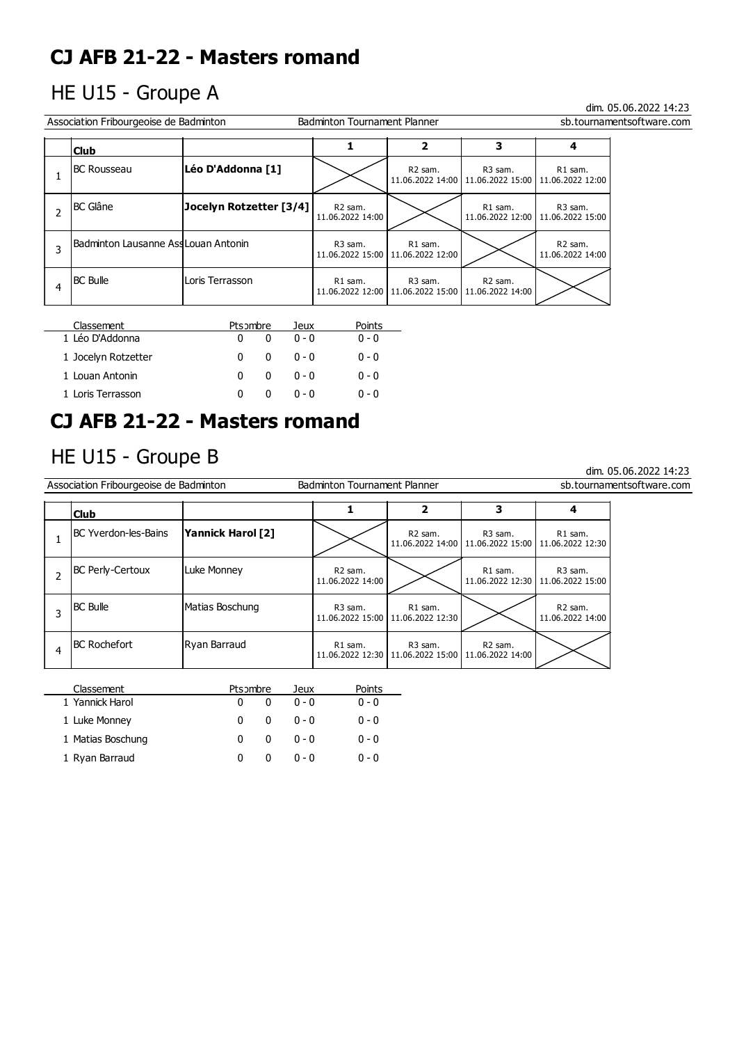## HE U15 - Groupe A

### dim. 05.06.2022 14:23

dim. 05.06.2022 14:23

| Association Fribourgeoise de Badminton<br><b>Badminton Tournament Planner</b><br>sb.tournamentsoftware.com |                         |                                         |                                                                   |                                                                               |                                                            |  |  |
|------------------------------------------------------------------------------------------------------------|-------------------------|-----------------------------------------|-------------------------------------------------------------------|-------------------------------------------------------------------------------|------------------------------------------------------------|--|--|
| <b>Club</b>                                                                                                |                         |                                         | 2                                                                 | 3                                                                             |                                                            |  |  |
| IBC Rousseau                                                                                               | Léo D'Addonna [1]       |                                         | R <sub>2</sub> sam.                                               | R <sub>3</sub> sam.<br>11.06.2022 14:00   11.06.2022 15:00   11.06.2022 12:00 | R1 sam.                                                    |  |  |
| <b>BC</b> Glâne                                                                                            | Jocelyn Rotzetter [3/4] | R <sub>2</sub> sam.<br>11.06.2022 14:00 |                                                                   | R1 sam.                                                                       | R <sub>3</sub> sam.<br>11.06.2022 12:00   11.06.2022 15:00 |  |  |
| Badminton Lausanne Ass Louan Antonin                                                                       |                         | R <sub>3</sub> sam.                     | R1 sam.<br>11.06.2022 15:00   11.06.2022 12:00                    |                                                                               | R <sub>2</sub> sam.<br>11.06.2022 14:00                    |  |  |
| <b>BC Bulle</b>                                                                                            | Loris Terrasson         | R1 sam.                                 | R3 sam.<br>11.06.2022 12:00   11.06.2022 15:00   11.06.2022 14:00 | R <sub>2</sub> sam.                                                           |                                                            |  |  |

| Classement          | Ptsombre |          | Jeux    | Points  |
|---------------------|----------|----------|---------|---------|
| 1 Léo D'Addonna     |          |          | $0 - 0$ | $0 - 0$ |
| 1 Jocelyn Rotzetter | 0        | 0        | $0 - 0$ | $0 - 0$ |
| 1 Louan Antonin     | n        | $\Omega$ | $0 - 0$ | $0 - 0$ |
| 1 Loris Terrasson   | n        |          | $0 - 0$ | $0 - 0$ |

## **CJ AFB 21-22 - Masters romand**

## HE U15 - Groupe B

|   | Association Fribourgeoise de Badminton |                   | <b>Badminton Tournament Planner</b>     |                                                |                                                                               |                                                            | sb.tournamentsoftware.com |
|---|----------------------------------------|-------------------|-----------------------------------------|------------------------------------------------|-------------------------------------------------------------------------------|------------------------------------------------------------|---------------------------|
|   | <b>Club</b>                            |                   |                                         | 2                                              | 3                                                                             | 4                                                          |                           |
|   | <b>IBC Yverdon-les-Bains</b>           | Yannick Harol [2] |                                         | R <sub>2</sub> sam.                            | R <sub>3</sub> sam.<br>11.06.2022 14:00   11.06.2022 15:00   11.06.2022 12:30 | R1 sam.                                                    |                           |
|   | <b>BC Perly-Certoux</b>                | Luke Monney       | R <sub>2</sub> sam.<br>11.06.2022 14:00 |                                                | R1 sam.                                                                       | R <sub>3</sub> sam.<br>11.06.2022 12:30   11.06.2022 15:00 |                           |
| 3 | <b>BC Bulle</b>                        | Matias Boschung   | R <sub>3</sub> sam.<br>11.06.2022 15:00 | R1 sam.<br>11.06.2022 12:30                    |                                                                               | R <sub>2</sub> sam.<br>11.06.2022 14:00                    |                           |
|   | <b>BC Rochefort</b>                    | Ryan Barraud      | R1 sam.                                 | R3 sam.<br>11.06.2022 12:30   11.06.2022 15:00 | R <sub>2</sub> sam.<br>11.06.2022 14:00                                       |                                                            |                           |
|   |                                        |                   |                                         |                                                |                                                                               |                                                            |                           |

| Classement        | Ptsombre |              | Jeux    | Points  |
|-------------------|----------|--------------|---------|---------|
| 1 Yannick Harol   |          |              | $0 - 0$ | $0 - 0$ |
| 1 Luke Monney     | 0        | <sup>0</sup> | $0 - 0$ | $0 - 0$ |
| 1 Matias Boschung | 0        | <sup>0</sup> | $0 - 0$ | $0 - 0$ |
| 1 Ryan Barraud    |          |              | $0 - 0$ | $0 - 0$ |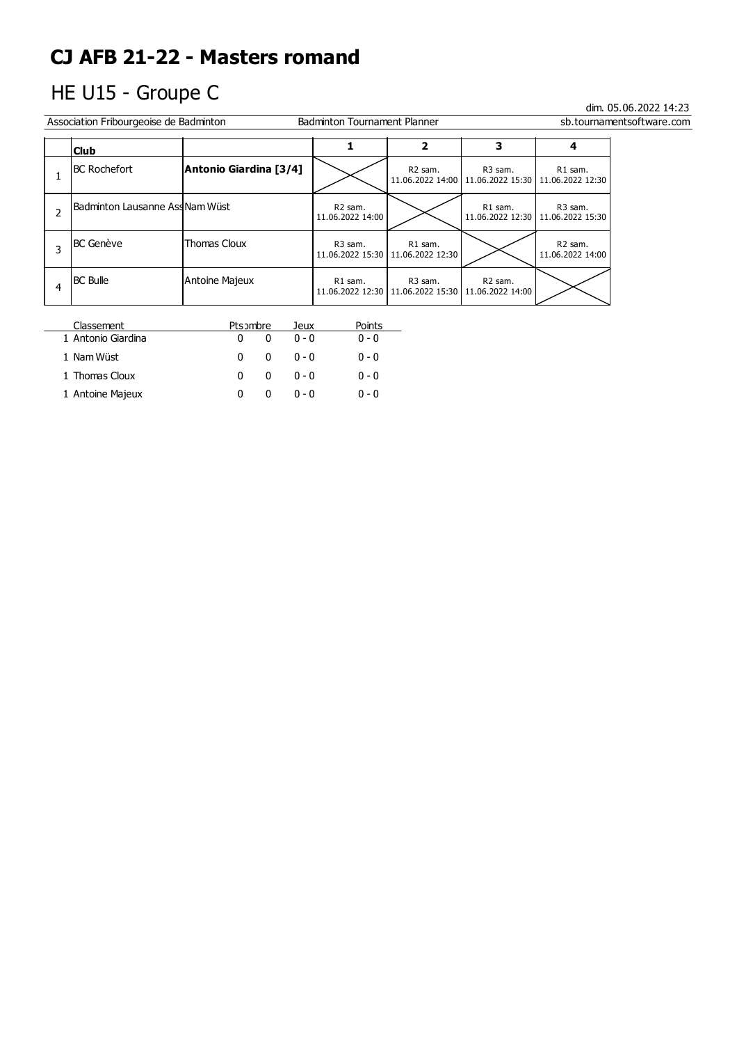# HE U15 - Groupe C

| Association Fribourgeoise de Badminton<br><b>Badminton Tournament Planner</b><br>sb.tournamentsoftware.com |                        |                                         |                                                                   |                                                                   |                                                |  |  |
|------------------------------------------------------------------------------------------------------------|------------------------|-----------------------------------------|-------------------------------------------------------------------|-------------------------------------------------------------------|------------------------------------------------|--|--|
| 3<br>2<br>4<br><b>Club</b>                                                                                 |                        |                                         |                                                                   |                                                                   |                                                |  |  |
| <b>BC Rochefort</b>                                                                                        | Antonio Giardina [3/4] |                                         | R <sub>2</sub> sam.                                               | R3 sam.<br>11.06.2022 14:00   11.06.2022 15:30   11.06.2022 12:30 | R1 sam.                                        |  |  |
| lBadminton Lausanne AssNam Wüst                                                                            |                        | R <sub>2</sub> sam.<br>11.06.2022 14:00 |                                                                   | R1 sam.                                                           | R3 sam.<br>11.06.2022 12:30   11.06.2022 15:30 |  |  |
| <b>BC</b> Genève                                                                                           | Thomas Cloux           | R3 sam.<br>11.06.2022 15:30             | R1 sam.<br>11.06.2022 12:30                                       |                                                                   | R <sub>2</sub> sam.<br>11.06.2022 14:00        |  |  |
| <b>BC Bulle</b>                                                                                            | Antoine Majeux         | R1 sam.                                 | R3 sam.<br>11.06.2022 12:30   11.06.2022 15:30   11.06.2022 14:00 | R <sub>2</sub> sam.                                               |                                                |  |  |

| Classement         | Ptsombre      | Jeux    | Points  |
|--------------------|---------------|---------|---------|
| 1 Antonio Giardina |               | $0 - 0$ | $0 - 0$ |
| 1 Nam Wüst         | 0<br>$\Omega$ | $0 - 0$ | $0 - 0$ |
| 1 Thomas Cloux     | $\Omega$<br>0 | $0 - 0$ | $0 - 0$ |
| 1 Antoine Majeux   |               | $0 - 0$ | $0 - 0$ |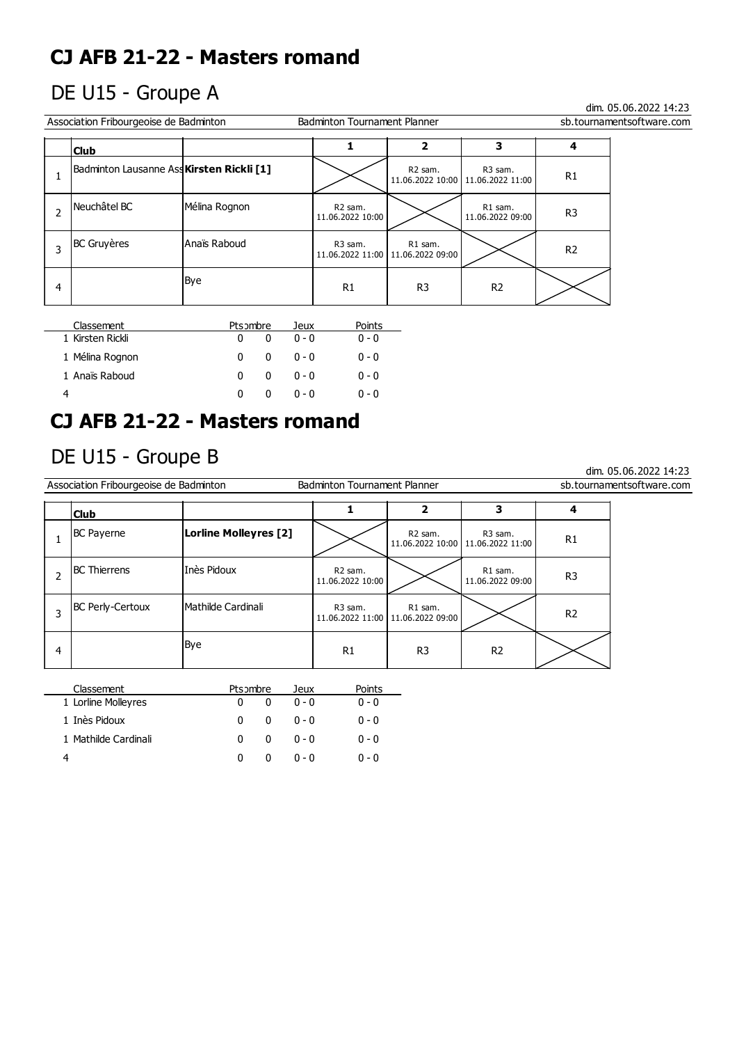## DE U15 - Groupe A

dim. 05.06.2022 14:23

dim. 05.06.2022 14:23

| Association Fribourgeoise de Badminton |                                           |               | <b>Badminton Tournament Planner</b>     |                                                |                                                |                | sb.tournamentsoftware.com |
|----------------------------------------|-------------------------------------------|---------------|-----------------------------------------|------------------------------------------------|------------------------------------------------|----------------|---------------------------|
|                                        | <b>Club</b>                               |               |                                         |                                                | 3                                              |                |                           |
|                                        | Badminton Lausanne Ass Kirsten Rickli [1] |               |                                         | R <sub>2</sub> sam.                            | R3 sam.<br>11.06.2022 10:00   11.06.2022 11:00 | R <sub>1</sub> |                           |
|                                        | l Neuchâtel BC                            | Mélina Rognon | R <sub>2</sub> sam.<br>11.06.2022 10:00 |                                                | R1 sam.<br>11.06.2022 09:00                    | R <sub>3</sub> |                           |
|                                        | <b>BC</b> Gruyères                        | lAnaïs Raboud | R <sub>3</sub> sam.                     | R1 sam.<br>11.06.2022 11:00   11.06.2022 09:00 |                                                | R <sub>2</sub> |                           |
| 4                                      |                                           | Bye           | R1                                      | R <sub>3</sub>                                 | R <sub>2</sub>                                 |                |                           |

| Classement       | Ptsombre |              | Jeux    | Points  |
|------------------|----------|--------------|---------|---------|
| 1 Kirsten Rickli | 0        | <sup>0</sup> | $0 - 0$ | $0 - 0$ |
| 1 Mélina Rognon  | 0        | 0            | $0 - 0$ | $0 - 0$ |
| 1 Anaïs Raboud   | 0        | 0            | $0 - 0$ | $0 - 0$ |
| 4                |          |              | $0 - 0$ | $0 - 0$ |

## **CJ AFB 21-22 - Masters romand**

## DE U15 - Groupe B

| Association Fribourgeoise de Badminton<br><b>Badminton Tournament Planner</b> |                         |                       |                                         |                             |                                                            |                | sb.tournamentsoftware.com |
|-------------------------------------------------------------------------------|-------------------------|-----------------------|-----------------------------------------|-----------------------------|------------------------------------------------------------|----------------|---------------------------|
|                                                                               | <b>Club</b>             | 4                     |                                         |                             |                                                            |                |                           |
|                                                                               | <b>BC Payerne</b>       | Lorline Molleyres [2] |                                         | R <sub>2</sub> sam.         | R <sub>3</sub> sam.<br>11.06.2022 10:00   11.06.2022 11:00 | R1             |                           |
| $\overline{2}$                                                                | <b>BC</b> Thierrens     | lInès Pidoux          | R <sub>2</sub> sam.<br>11.06.2022 10:00 |                             | R1 sam.<br>11.06.2022 09:00                                | R <sub>3</sub> |                           |
| 3                                                                             | <b>BC Perly-Certoux</b> | lMathilde Cardinali   | R <sub>3</sub> sam.<br>11.06.2022 11:00 | R1 sam.<br>11.06.2022 09:00 |                                                            | R <sub>2</sub> |                           |
| 4                                                                             |                         | Bye                   | R1                                      | R <sub>3</sub>              | R <sub>2</sub>                                             |                |                           |
|                                                                               | Classement              | Ptsombre<br>Jeux      | Points                                  |                             |                                                            |                |                           |

| Classerient          | <b>PLSJIIDIE</b> |   | Jeux    | PUINS   |
|----------------------|------------------|---|---------|---------|
| 1 Lorline Molleyres  |                  |   | $0 - 0$ | $0 - 0$ |
| 1 Inès Pidoux        | 0                | 0 | $0 - 0$ | $0 - 0$ |
| 1 Mathilde Cardinali | 0                | 0 | $0 - 0$ | $0 - 0$ |
|                      | <sup>0</sup>     | 0 | $0 - 0$ | $0 - 0$ |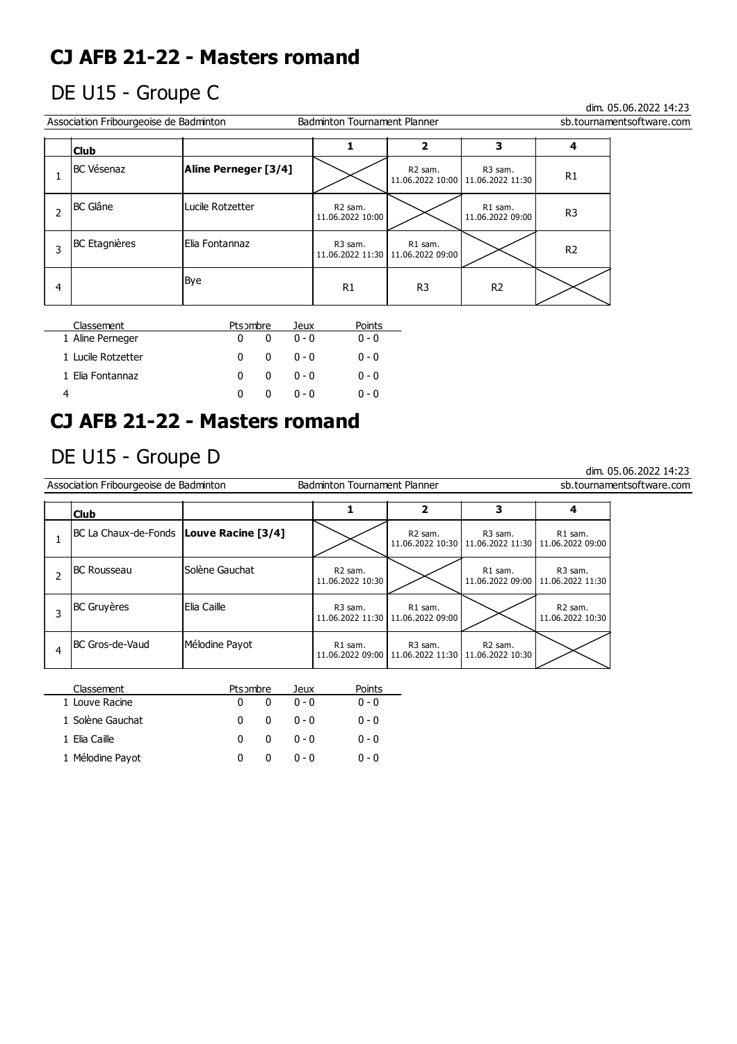## DE U15 - Groupe C

dim. 05.06.2022 14:23

dim. 05.06.2022 14:23

|   | Association Fribourgeoise de Badminton<br><b>Badminton Tournament Planner</b><br>sb.tournamentsoftware.com |                      |                                         |                                                |                                                            |                |  |  |
|---|------------------------------------------------------------------------------------------------------------|----------------------|-----------------------------------------|------------------------------------------------|------------------------------------------------------------|----------------|--|--|
|   | <b>Club</b>                                                                                                |                      |                                         |                                                |                                                            |                |  |  |
|   | <b>BC Vésenaz</b>                                                                                          | Aline Perneger [3/4] |                                         | R <sub>2</sub> sam.                            | R <sub>3</sub> sam.<br>11.06.2022 10:00   11.06.2022 11:30 | R <sub>1</sub> |  |  |
|   | <b>BC</b> Glâne                                                                                            | Lucile Rotzetter     | R <sub>2</sub> sam.<br>11.06.2022 10:00 |                                                | R1 sam.<br>11.06.2022 09:00                                | R <sub>3</sub> |  |  |
|   | <b>BC</b> Etagnières                                                                                       | lElia Fontannaz      | R <sub>3</sub> sam.                     | R1 sam.<br>11.06.2022 11:30   11.06.2022 09:00 |                                                            | R <sub>2</sub> |  |  |
| 4 |                                                                                                            | Bye                  | R1                                      | R <sub>3</sub>                                 | R <sub>2</sub>                                             |                |  |  |

| Classement         | Ptsombre |   | Jeux    | Points  |
|--------------------|----------|---|---------|---------|
| 1 Aline Perneger   | 0        |   | $0 - 0$ | $0 - 0$ |
| 1 Lucile Rotzetter | 0        | o | ი - ი   | $0 - 0$ |
| 1 Elia Fontannaz   | n        | 0 | ი - ი   | $0 - 0$ |
|                    | n        |   | $0 - 0$ | $0 - 0$ |

# **CJ AFB 21-22 - Masters romand**

## DE U15 - Groupe D

|   | Association Fribourgeoise de Badminton    |                  | <b>Badminton Tournament Planner</b>     |                                                |                                                                               |                                           | sb.tournamentsoftware.com |
|---|-------------------------------------------|------------------|-----------------------------------------|------------------------------------------------|-------------------------------------------------------------------------------|-------------------------------------------|---------------------------|
|   | <b>Club</b>                               |                  |                                         | 2                                              | 3                                                                             | 4                                         |                           |
|   | BC La Chaux-de-Fonds   Louve Racine [3/4] |                  |                                         | R2 sam.                                        | R <sub>3</sub> sam.<br>11.06.2022 10:30   11.06.2022 11:30   11.06.2022 09:00 | R1 sam.                                   |                           |
|   | IBC Rousseau                              | lSolène Gauchat  | R <sub>2</sub> sam.<br>11.06.2022 10:30 |                                                | R1 sam.<br>11.06.2022 09:00                                                   | R <sub>3</sub> sam.<br>  11.06.2022 11:30 |                           |
| 3 | <b>BC Gruyères</b>                        | l Elia Caille    | R <sub>3</sub> sam.<br>11.06.2022 11:30 | R1 sam.<br>11.06.2022 09:00                    |                                                                               | R <sub>2</sub> sam.<br>11.06.2022 10:30   |                           |
| 4 | BC Gros-de-Vaud                           | Mélodine Payot   | R1 sam.                                 | R3 sam.<br>11.06.2022 09:00   11.06.2022 11:30 | R <sub>2</sub> sam.<br>11.06.2022 10:30                                       |                                           |                           |
|   | Classement                                | Ptsombre<br>leux | Points                                  |                                                |                                                                               |                                           |                           |

| Classement       | Ptsombre |              | Jeux    | Points  |
|------------------|----------|--------------|---------|---------|
| 1 Louve Racine   |          |              | $0 - 0$ | $0 - 0$ |
| 1 Solène Gauchat | n.       | <sup>0</sup> | $0 - 0$ | $0 - 0$ |
| 1 Elia Caille    | n.       | <sup>0</sup> | $0 - 0$ | $0 - 0$ |
| 1 Mélodine Payot |          |              | $0 - 0$ | $0 - 0$ |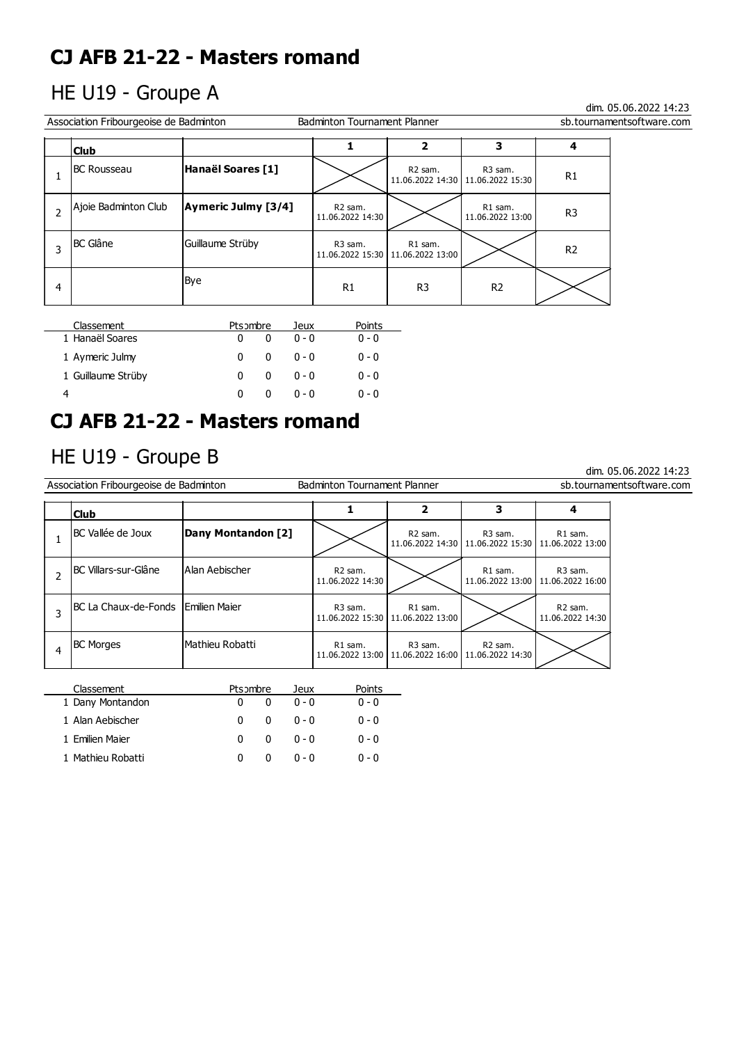## HE U19 - Groupe A

dim. 05.06.2022 14:23

dim. 05.06.2022 14:23

| Association Fribourgeoise de Badminton<br>Badminton Tournament Planner<br>sb.tournamentsoftware.com |                      |                     |                                         |                                                |                                                            |                |  |
|-----------------------------------------------------------------------------------------------------|----------------------|---------------------|-----------------------------------------|------------------------------------------------|------------------------------------------------------------|----------------|--|
|                                                                                                     | <b>Club</b>          |                     |                                         |                                                | 3                                                          |                |  |
|                                                                                                     | <b>BC Rousseau</b>   | Hanaël Soares [1]   |                                         | R <sub>2</sub> sam.                            | R <sub>3</sub> sam.<br>11.06.2022 14:30   11.06.2022 15:30 | R <sub>1</sub> |  |
|                                                                                                     | Ajoie Badminton Club | Aymeric Julmy [3/4] | R <sub>2</sub> sam.<br>11.06.2022 14:30 |                                                | R1 sam.<br>11.06.2022 13:00                                | R <sub>3</sub> |  |
|                                                                                                     | <b>BC Glâne</b>      | Guillaume Strüby    | R <sub>3</sub> sam.                     | R1 sam.<br>11.06.2022 15:30   11.06.2022 13:00 |                                                            | R <sub>2</sub> |  |
| 4                                                                                                   |                      | Bye                 | R <sub>1</sub>                          | R <sub>3</sub>                                 | R <sub>2</sub>                                             |                |  |

| Classement         | Ptsombre |   | Jeux    | Points  |
|--------------------|----------|---|---------|---------|
| 1 Hanaël Soares    | 0        |   | $0 - 0$ | $0 - 0$ |
| 1 Aymeric Julmy    | n        | 0 | ი - ი   | $0 - 0$ |
| 1 Guillaume Strüby | 0        | 0 | ი - ი   | $0 - 0$ |
|                    |          |   | $0 - 0$ | $0 - 0$ |

# **CJ AFB 21-22 - Masters romand**

## HE U19 - Groupe B

| Association Fribourgeoise de Badminton<br>sb.tournamentsoftware.com<br><b>Badminton Tournament Planner</b> |                                     |                       |                                         |                                                                               |                                                                   |                                                            |  |
|------------------------------------------------------------------------------------------------------------|-------------------------------------|-----------------------|-----------------------------------------|-------------------------------------------------------------------------------|-------------------------------------------------------------------|------------------------------------------------------------|--|
|                                                                                                            | <b>Club</b>                         |                       |                                         | 2                                                                             | 3                                                                 |                                                            |  |
|                                                                                                            | IBC Vallée de Joux                  | Dany Montandon [2]    |                                         | R <sub>2</sub> sam.                                                           | R3 sam.<br>11.06.2022 14:30   11.06.2022 15:30   11.06.2022 13:00 | R1 sam.                                                    |  |
|                                                                                                            | IBC Villars-sur-Glâne               | <b>Alan Aebischer</b> | R <sub>2</sub> sam.<br>11.06.2022 14:30 |                                                                               | R1 sam.                                                           | R <sub>3</sub> sam.<br>11.06.2022 13:00   11.06.2022 16:00 |  |
| 3                                                                                                          | BC La Chaux-de-Fonds lEmilien Maier |                       | R <sub>3</sub> sam.                     | R1 sam.<br>11.06.2022 15:30   11.06.2022 13:00                                |                                                                   | R <sub>2</sub> sam.<br>11.06.2022 14:30                    |  |
| 4                                                                                                          | <b>BC Morges</b>                    | lMathieu Robatti      | R1 sam.                                 | R <sub>3</sub> sam.<br>11.06.2022 13:00   11.06.2022 16:00   11.06.2022 14:30 | R <sub>2</sub> sam.                                               |                                                            |  |
|                                                                                                            |                                     |                       |                                         |                                                                               |                                                                   |                                                            |  |

| Classement        | Ptsombre |              | Jeux    | Points  |
|-------------------|----------|--------------|---------|---------|
| 1 Dany Montandon  |          |              | $0 - 0$ | $0 - 0$ |
| 1 Alan Aebischer  | n        | n            | $0 - 0$ | $0 - 0$ |
| 1 Emilien Maier   | n.       | <sup>0</sup> | $0 - 0$ | $0 - 0$ |
| 1 Mathieu Robatti |          | 0            | $0 - 0$ | $0 - 0$ |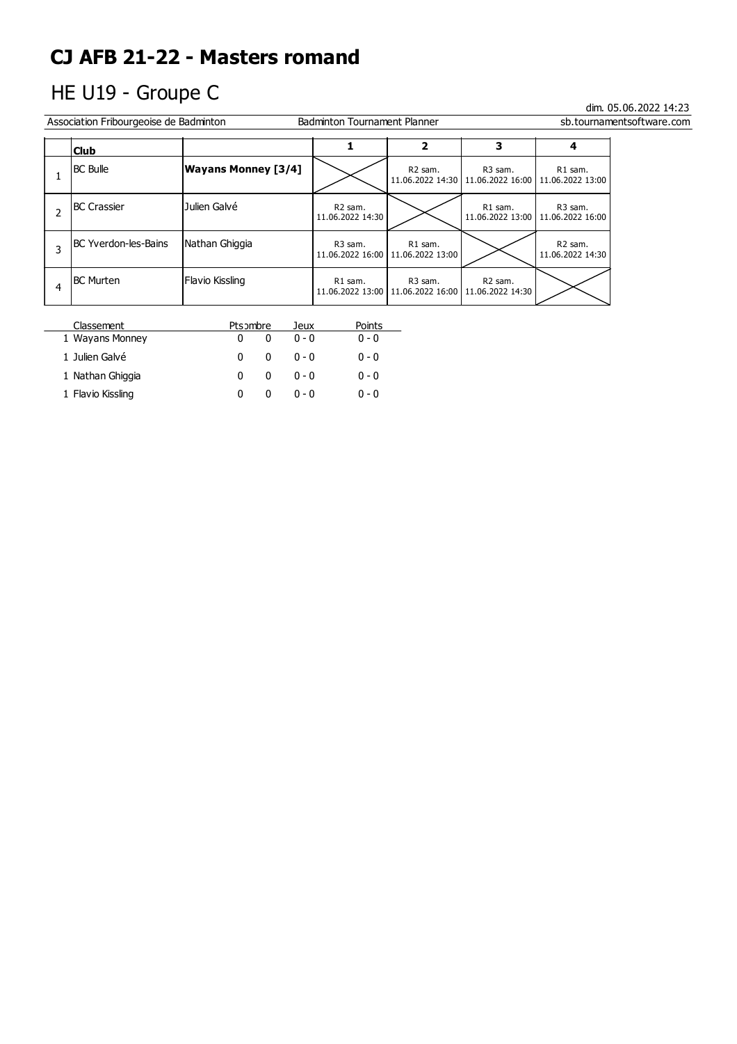# HE U19 - Groupe C

| Association Fribourgeoise de Badminton<br><b>Badminton Tournament Planner</b><br>sb.tournamentsoftware.com |                            |                                         |                                                                               |                                                                               |                                         |  |  |
|------------------------------------------------------------------------------------------------------------|----------------------------|-----------------------------------------|-------------------------------------------------------------------------------|-------------------------------------------------------------------------------|-----------------------------------------|--|--|
| <b>Club</b>                                                                                                |                            |                                         | 2                                                                             | 3                                                                             |                                         |  |  |
| <b>BC Bulle</b>                                                                                            | <b>Wayans Monney [3/4]</b> |                                         | R2 sam.                                                                       | R <sub>3</sub> sam.<br>11.06.2022 14:30   11.06.2022 16:00   11.06.2022 13:00 | R1 sam.                                 |  |  |
| <b>IBC Crassier</b>                                                                                        | Julien Galvé               | R <sub>2</sub> sam.<br>11.06.2022 14:30 |                                                                               | R1 sam.<br>11.06.2022 13:00                                                   | R3 sam.<br>  11.06.2022 16:00           |  |  |
| IBC Yverdon-les-Bains                                                                                      | Nathan Ghiggia             | R <sub>3</sub> sam.                     | R1 sam.<br>11.06.2022 16:00   11.06.2022 13:00                                |                                                                               | R <sub>2</sub> sam.<br>11.06.2022 14:30 |  |  |
| <b>BC</b> Murten                                                                                           | Flavio Kissling            | R1 sam.                                 | R <sub>3</sub> sam.<br>11.06.2022 13:00   11.06.2022 16:00   11.06.2022 14:30 | R <sub>2</sub> sam.                                                           |                                         |  |  |

| Classement        | Ptsombre | Jeux    | Points  |
|-------------------|----------|---------|---------|
| 1 Wayans Monney   |          | $0 - 0$ | $0 - 0$ |
| 1 Julien Galvé    | 0<br>o   | $0 - 0$ | $0 - 0$ |
| 1 Nathan Ghiggia  | 0<br>0   | $0 - 0$ | $0 - 0$ |
| 1 Flavio Kissling |          | $0 - 0$ | $0 - 0$ |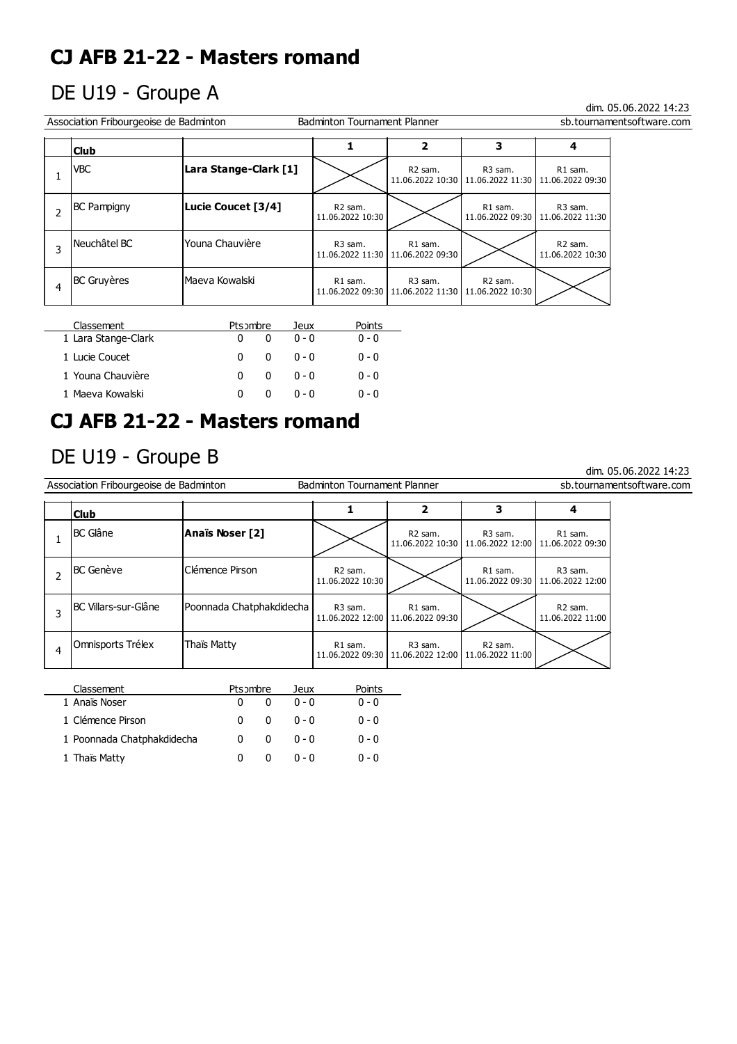## DE U19 - Groupe A

### dim. 05.06.2022 14:23

dim. 05.06.2022 14:23

| Association Fribourgeoise de Badminton<br><b>Badminton Tournament Planner</b><br>sb.tournamentsoftware.com |                       |                                         |                                                                   |                                                                               |                                                |  |  |
|------------------------------------------------------------------------------------------------------------|-----------------------|-----------------------------------------|-------------------------------------------------------------------|-------------------------------------------------------------------------------|------------------------------------------------|--|--|
| 3<br>2<br><b>Club</b>                                                                                      |                       |                                         |                                                                   |                                                                               |                                                |  |  |
| VBC                                                                                                        | Lara Stange-Clark [1] |                                         | R <sub>2</sub> sam.                                               | R <sub>3</sub> sam.<br>11.06.2022 10:30   11.06.2022 11:30   11.06.2022 09:30 | R1 sam.                                        |  |  |
| <b>BC</b> Pampigny                                                                                         | Lucie Coucet [3/4]    | R <sub>2</sub> sam.<br>11.06.2022 10:30 |                                                                   | R1 sam.                                                                       | R3 sam.<br>11.06.2022 09:30   11.06.2022 11:30 |  |  |
| Neuchâtel BC                                                                                               | l Youna Chauvière     | R <sub>3</sub> sam.                     | R1 sam.<br>11.06.2022 11:30   11.06.2022 09:30                    |                                                                               | R <sub>2</sub> sam.<br>11.06.2022 10:30        |  |  |
| <b>BC Gruyères</b>                                                                                         | lMaeva Kowalski       | R1 sam.                                 | R3 sam.<br>11.06.2022 09:30   11.06.2022 11:30   11.06.2022 10:30 | R <sub>2</sub> sam.                                                           |                                                |  |  |

| Classement          | Ptsombre |              | leux    | Points  |
|---------------------|----------|--------------|---------|---------|
| 1 Lara Stange-Clark |          |              | $0 - 0$ | $0 - 0$ |
| 1 Lucie Coucet      | 0        | 0            | $0 - 0$ | $0 - 0$ |
| 1 Youna Chauvière   | n        | 0            | $0 - 0$ | $0 - 0$ |
| 1 Maeva Kowalski    | n        | $\mathbf{U}$ | n - n   | $0 - 0$ |

## **CJ AFB 21-22 - Masters romand**

## DE U19 - Groupe B

| Association Fribourgeoise de Badminton<br>sb.tournamentsoftware.com<br><b>Badminton Tournament Planner</b> |                       |                          |                                         |                                                |                                                                               |                                                            |  |
|------------------------------------------------------------------------------------------------------------|-----------------------|--------------------------|-----------------------------------------|------------------------------------------------|-------------------------------------------------------------------------------|------------------------------------------------------------|--|
|                                                                                                            | 3<br>2<br><b>Club</b> |                          |                                         |                                                |                                                                               |                                                            |  |
|                                                                                                            | <b>BC</b> Glâne       | Anaïs Noser [2]          |                                         | R2 sam.                                        | R <sub>3</sub> sam.<br>11.06.2022 10:30   11.06.2022 12:00   11.06.2022 09:30 | R1 sam.                                                    |  |
|                                                                                                            | <b>BC Genève</b>      | Clémence Pirson          | R <sub>2</sub> sam.<br>11.06.2022 10:30 |                                                | R1 sam.                                                                       | R <sub>3</sub> sam.<br>11.06.2022 09:30   11.06.2022 12:00 |  |
| 3                                                                                                          | IBC Villars-sur-Glâne | Poonnada Chatphakdidecha | R <sub>3</sub> sam.                     | R1 sam.<br>11.06.2022 12:00   11.06.2022 09:30 |                                                                               | R <sub>2</sub> sam.<br>11.06.2022 11:00                    |  |
|                                                                                                            | Omnisports Trélex     | Thaïs Matty              | R1 sam.<br>11.06.2022 09:30             | R3 sam.<br>11.06.2022 12:00                    | R <sub>2</sub> sam.<br>11.06.2022 11:00                                       |                                                            |  |
|                                                                                                            |                       |                          |                                         |                                                |                                                                               |                                                            |  |

| Classement                 | Ptsombre |   | Jeux    | Points  |  |
|----------------------------|----------|---|---------|---------|--|
| 1 Anaïs Noser              |          |   | $0 - 0$ | $0 - 0$ |  |
| 1 Clémence Pirson          | 0        | n | ი - ი   | $0 - 0$ |  |
| 1 Poonnada Chatphakdidecha |          | 0 | $0 - 0$ | $0 - 0$ |  |
| 1 Thaïs Matty              |          |   | $0 - 0$ | $0 - 0$ |  |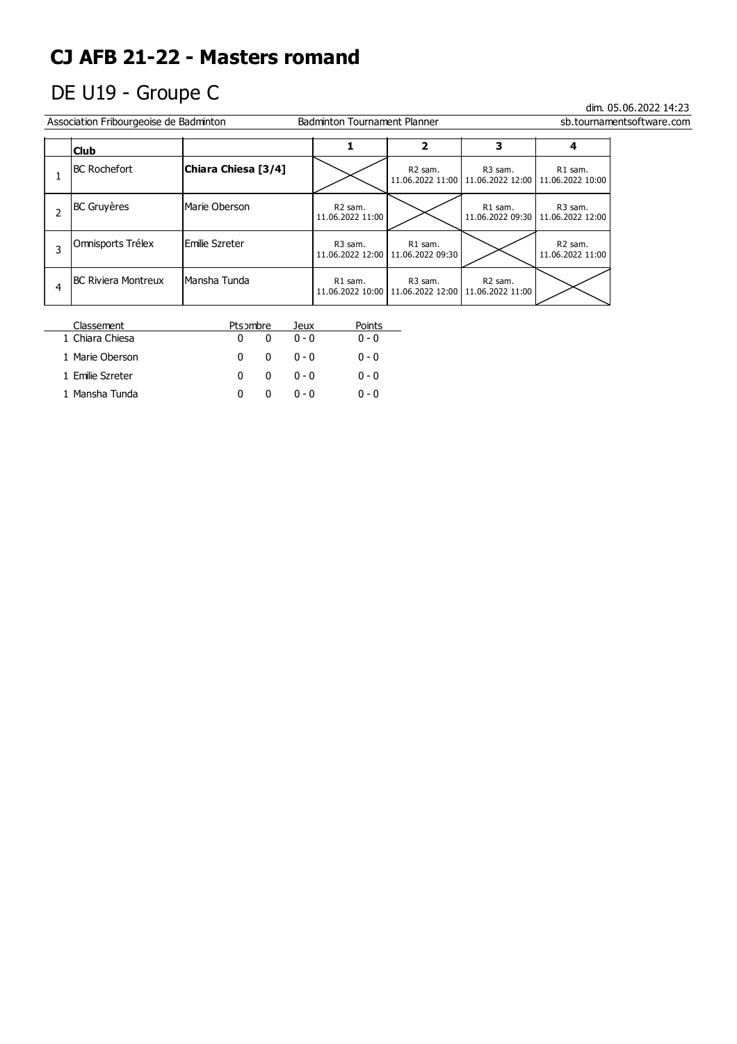# DE U19 - Groupe C

 $\overline{a}$ 

| Association Fribourgeoise de Badminton<br><b>Badminton Tournament Planner</b> |                            |                     |                                         | sb.tournamentsoftware.com                      |                                                                               |                                                            |  |
|-------------------------------------------------------------------------------|----------------------------|---------------------|-----------------------------------------|------------------------------------------------|-------------------------------------------------------------------------------|------------------------------------------------------------|--|
|                                                                               | <b>Club</b>                |                     |                                         | 2                                              | 3                                                                             | 4                                                          |  |
|                                                                               | <b>BC Rochefort</b>        | Chiara Chiesa [3/4] |                                         | R <sub>2</sub> sam.                            | R3 sam.<br>11.06.2022 11:00   11.06.2022 12:00   11.06.2022 10:00             | R1 sam.                                                    |  |
|                                                                               | <b>BC Gruyères</b>         | Marie Oberson       | R <sub>2</sub> sam.<br>11.06.2022 11:00 |                                                | R1 sam.                                                                       | R <sub>3</sub> sam.<br>11.06.2022 09:30   11.06.2022 12:00 |  |
|                                                                               | Omnisports Trélex          | lEmilie Szreter     | R <sub>3</sub> sam.                     | R1 sam.<br>11.06.2022 12:00   11.06.2022 09:30 |                                                                               | R <sub>2</sub> sam.<br>11.06.2022 11:00                    |  |
| 4                                                                             | <b>BC Riviera Montreux</b> | IMansha Tunda       | R1 sam.                                 | R <sub>3</sub> sam.                            | R <sub>2</sub> sam.<br>11.06.2022 10:00   11.06.2022 12:00   11.06.2022 11:00 |                                                            |  |

| Classement       | Ptsombre    | Jeux              | Points  |  |
|------------------|-------------|-------------------|---------|--|
| 1 Chiara Chiesa  | 0           | $0 - 0$           | $0 - 0$ |  |
| 1 Marie Oberson  | n           | ი - ი<br>$\Omega$ | $0 - 0$ |  |
| 1 Emilie Szreter | 0           | ი - ი<br>o        | $0 - 0$ |  |
| 1 Mansha Tunda   | $^{\prime}$ | በ - በ             | $0 - 0$ |  |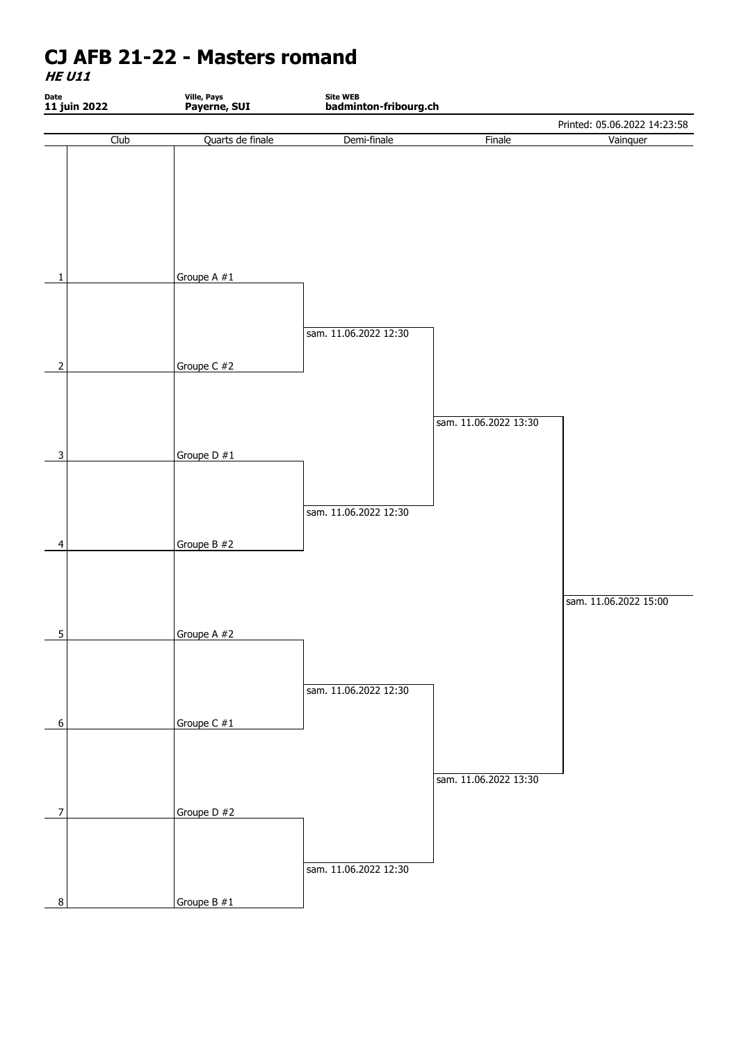**HE U11**

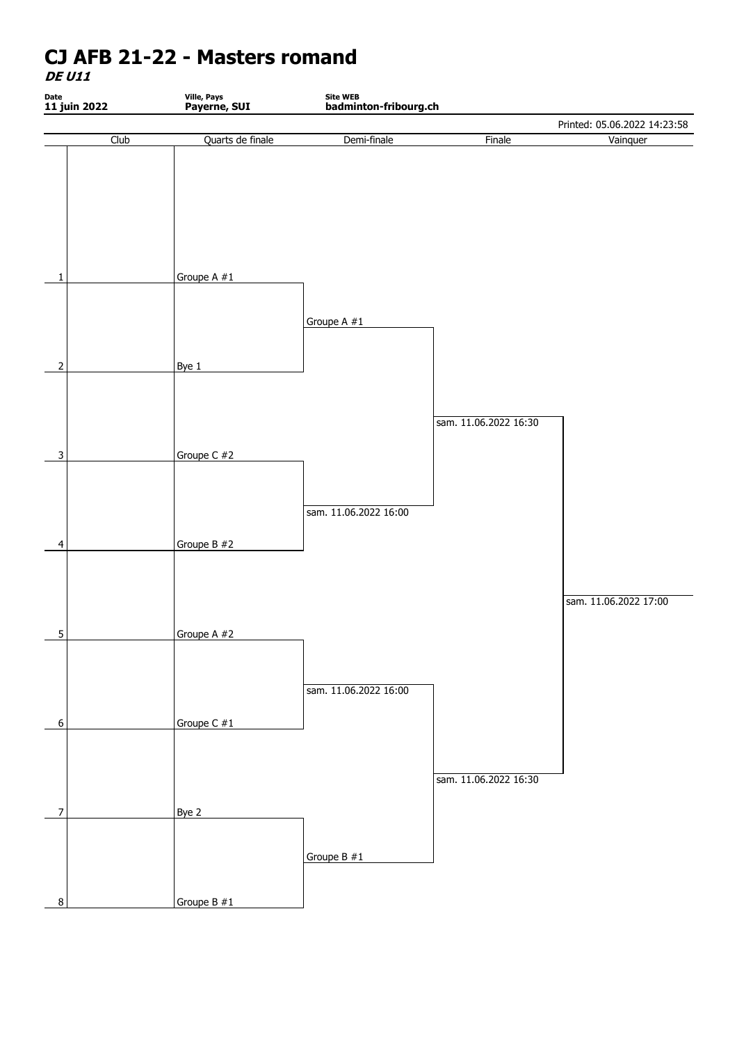**DE U11**

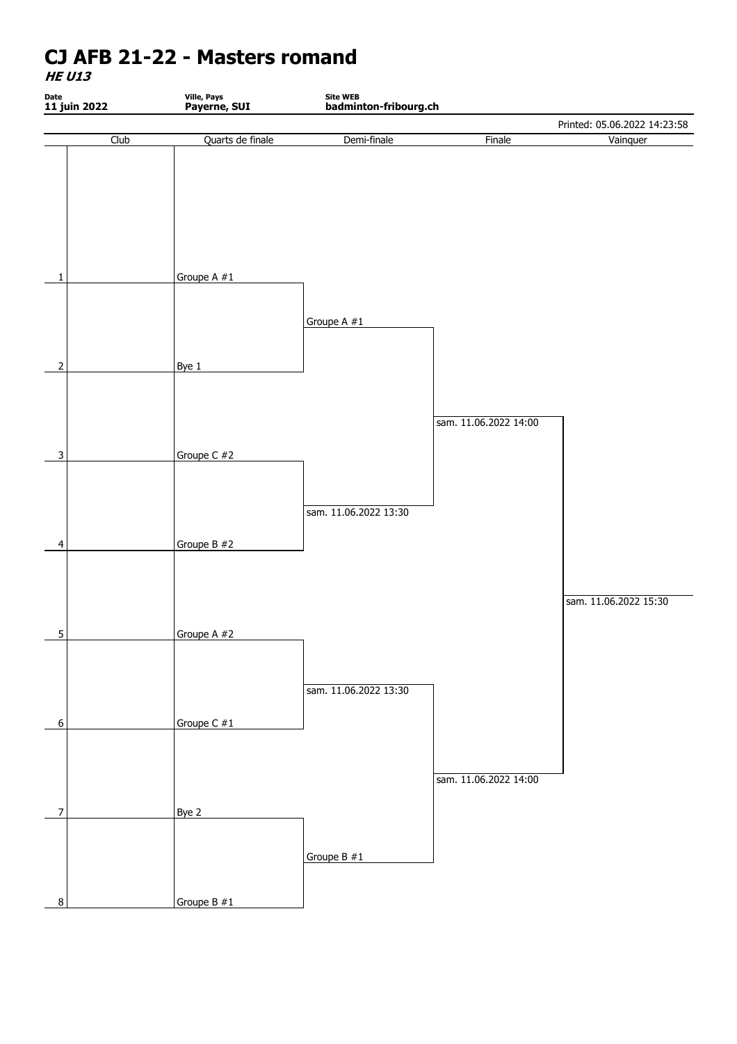**HE U13**

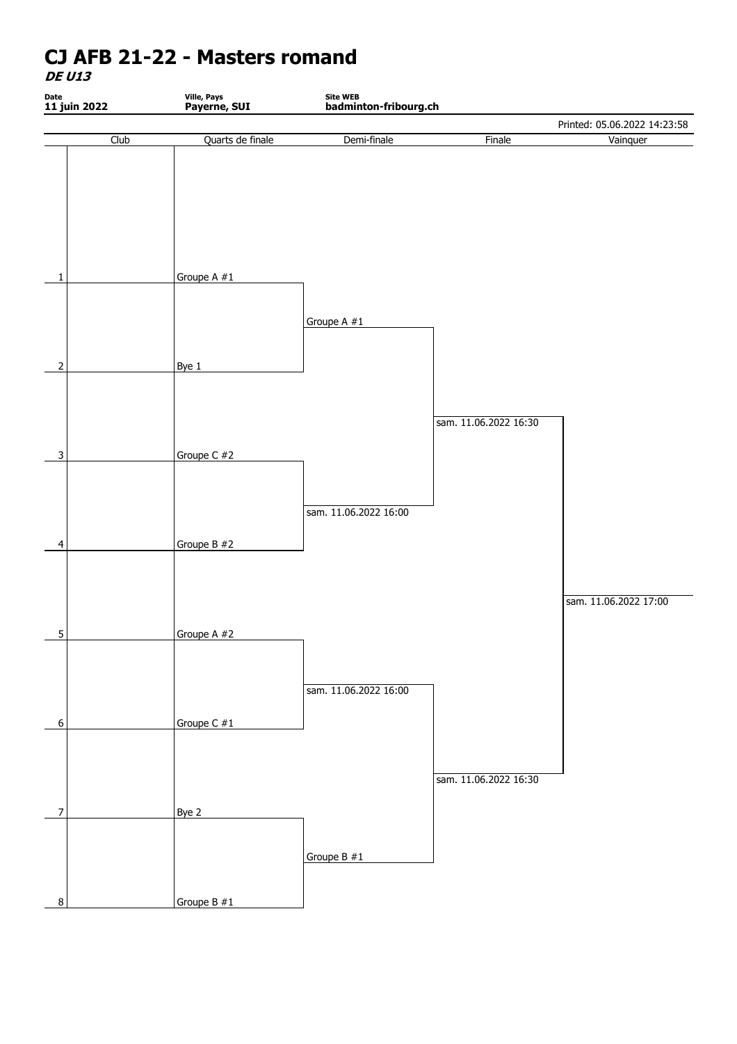**DE U13**

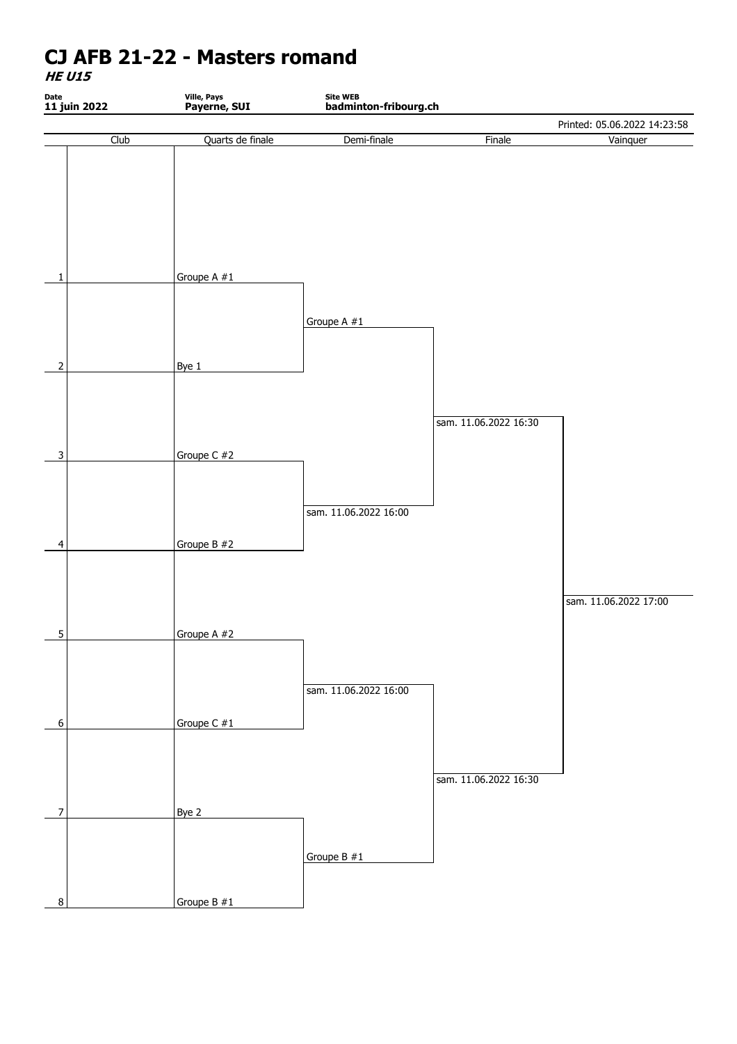**HE U15**

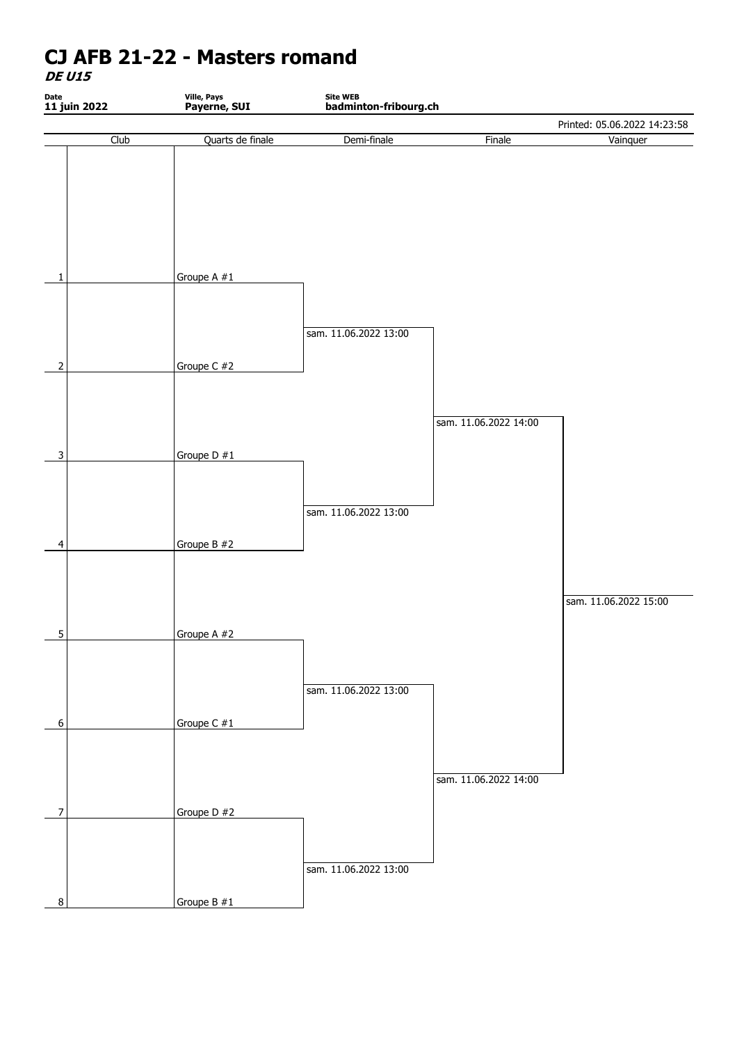**DE U15**

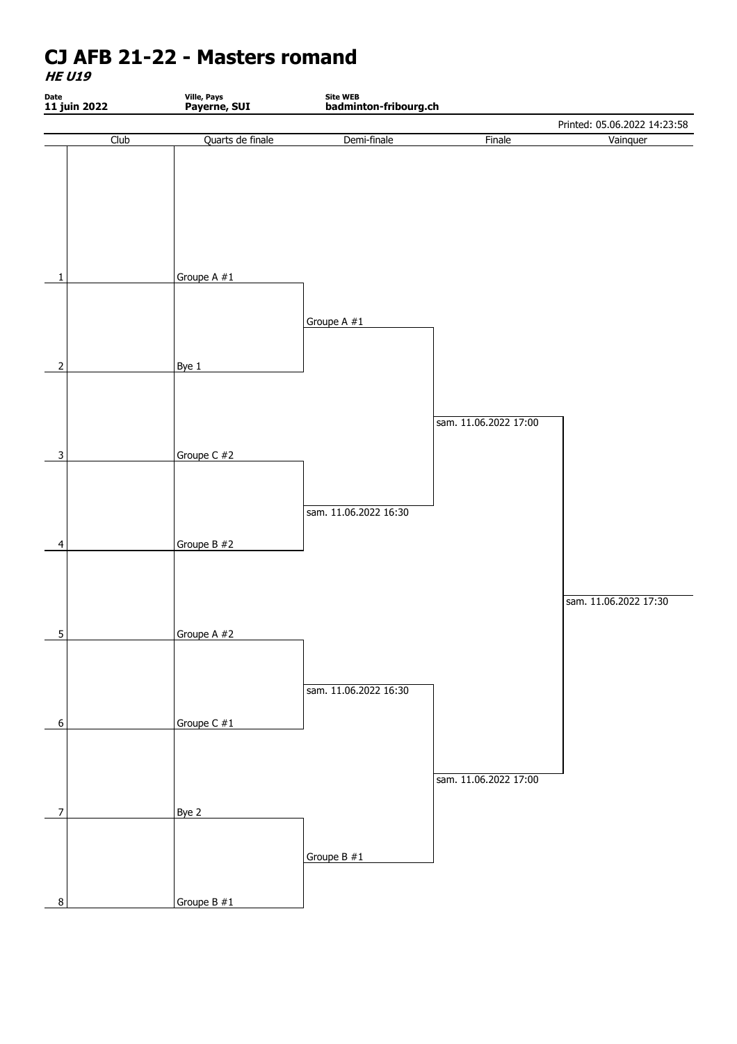**HE U19**